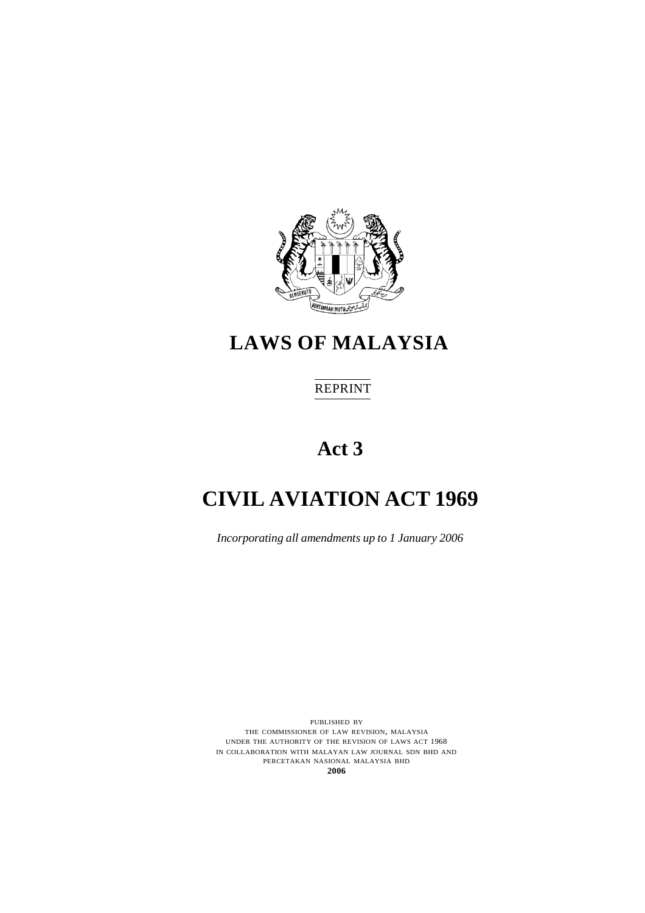

# **LAWS OF MALAYSIA**

# REPRINT

# **Act 3**

# **CIVIL AVIATION ACT 1969**

*Incorporating all amendments up to 1 January 2006*

PUBLISHED BY THE COMMISSIONER OF LAW REVISION, MALAYSIA UNDER THE AUTHORITY OF THE REVISION OF LAWS ACT 1968 IN COLLABORATION WITH MALAYAN LAW JOURNAL SDN BHD AND PERCETAKAN NASIONAL MALAYSIA BHD **2006**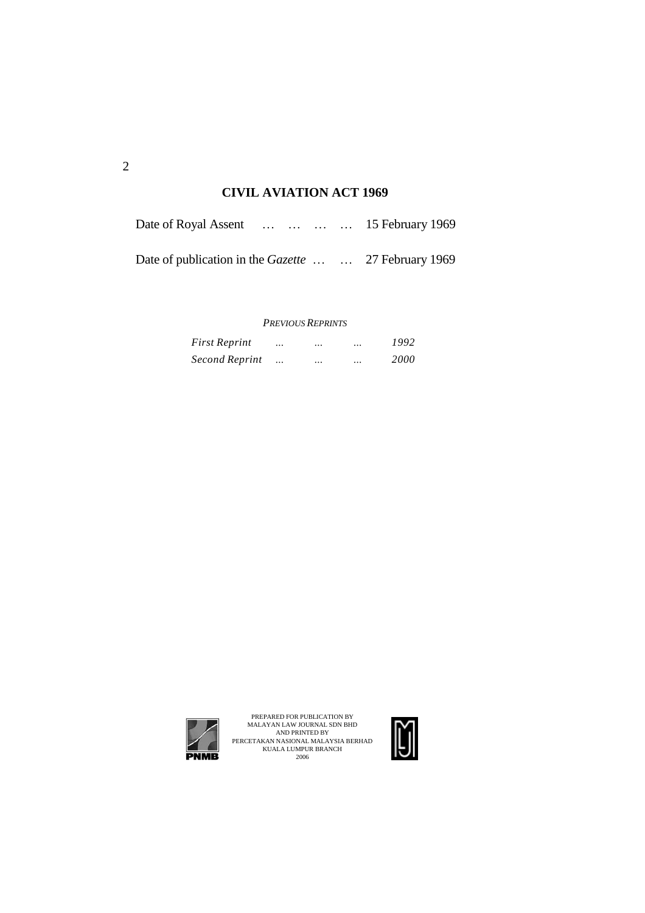# **CIVIL AVIATION ACT 1969**

| Date of Royal Assent     15 February 1969                  |  |  |  |
|------------------------------------------------------------|--|--|--|
| Date of publication in the <i>Gazette</i> 27 February 1969 |  |  |  |

#### *PREVIOUS REPRINTS*

| <b>First Reprint</b> |           | $\ddotsc$ | $\ddotsc$ | 1992        |
|----------------------|-----------|-----------|-----------|-------------|
| Second Reprint       | $\ddotsc$ | $\ddotsc$ | $\ddotsc$ | <i>2000</i> |



PREPARED FOR PUBLICATION BY<br>MALAYAN LAW JOURNAL SDN BHD<br>AND PRINTED BY<br>PERCETAKAN NASIONAL MALAYSIA BERHAD<br>KUALA LUMPUR BRANCH<br>2006

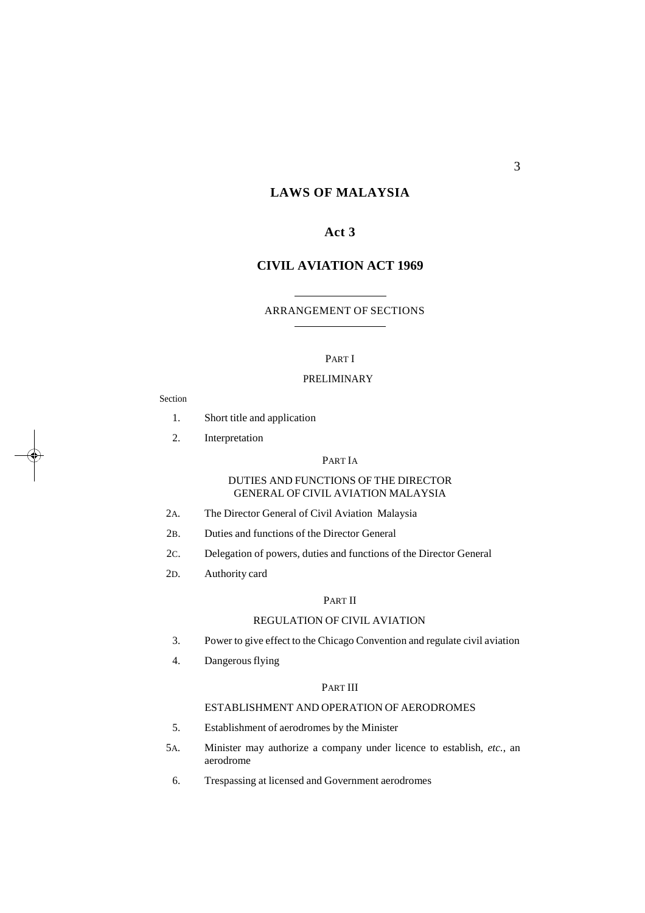#### **LAWS OF MALAYSIA**

# **Act 3**

#### **CIVIL AVIATION ACT 1969**

#### ARRANGEMENT OF SECTIONS

#### PART I

#### PRELIMINARY

#### Section

- 1. Short title and application
- 2. Interpretation

#### PART IA

#### DUTIES AND FUNCTIONS OF THE DIRECTOR GENERAL OF CIVIL AVIATION MALAYSIA

- 2A. The Director General of Civil Aviation Malaysia
- 2B. Duties and functions of the Director General
- 2C. Delegation of powers, duties and functions of the Director General
- 2D. Authority card

#### PART II

#### REGULATION OF CIVIL AVIATION

- 3. Power to give effect to the Chicago Convention and regulate civil aviation
- 4. Dangerousflying

#### PART III

# ESTABLISHMENT AND OPERATION OF AERODROMES

- 5. Establishment of aerodromes by the Minister
- 5A. Minister may authorize a company under licence to establish, *etc.*, an aerodrome
	- 6. Trespassing at licensed and Government aerodromes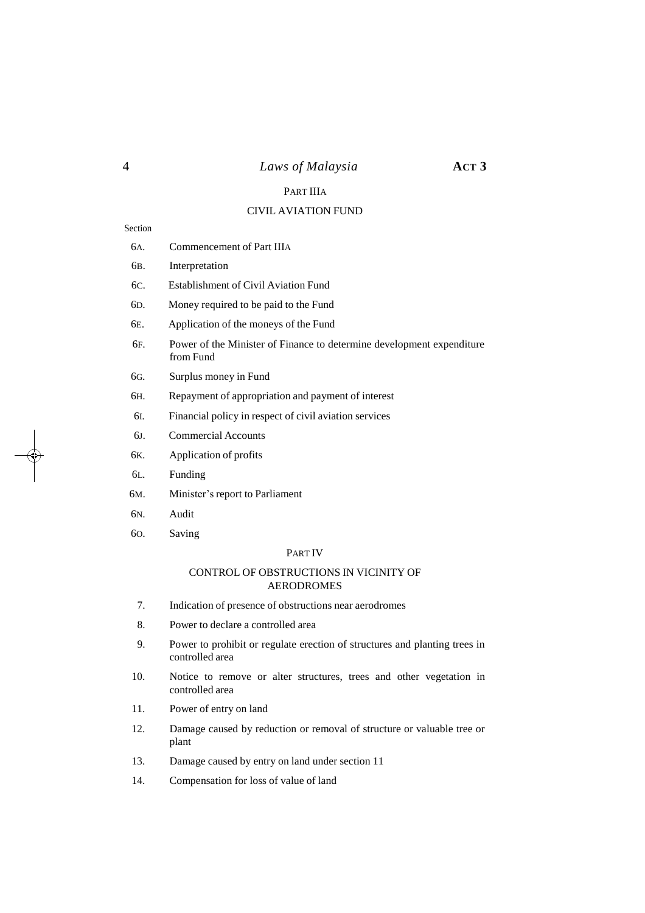# 4 *Laws of Malaysia* **ACT 3**

# PART IIIA

### CIVIL AVIATION FUND

#### Section

| ecuon            |                                                                                    |
|------------------|------------------------------------------------------------------------------------|
| 6A.              | Commencement of Part IIIA                                                          |
| 6в.              | Interpretation                                                                     |
| 6C.              | <b>Establishment of Civil Aviation Fund</b>                                        |
| 6D.              | Money required to be paid to the Fund                                              |
| 6E.              | Application of the moneys of the Fund                                              |
| 6 <sub>F</sub> . | Power of the Minister of Finance to determine development expenditure<br>from Fund |
| 6G.              | Surplus money in Fund                                                              |
| 6н.              | Repayment of appropriation and payment of interest                                 |
| 6I.              | Financial policy in respect of civil aviation services                             |
| 6J.              | <b>Commercial Accounts</b>                                                         |
| 6K.              | Application of profits                                                             |
| 6L.              | Funding                                                                            |
| 6м.              | Minister's report to Parliament                                                    |
| 6N.              | Audit                                                                              |
| 60.              | Saving                                                                             |
|                  | <b>PARTIV</b>                                                                      |
|                  | CONTROL OF OBSTRUCTIONS IN VICINITY OF<br><b>AERODROMES</b>                        |
| 7.               | Indication of presence of obstructions near aerodromes                             |
| 8.               | Power to declare a controlled area                                                 |

- 9. Power to prohibit or regulate erection of structures and planting trees in controlled area
- 10. Notice to remove or alter structures, trees and other vegetation in controlled area
- 11. Power of entry on land
- 12. Damage caused by reduction or removal of structure or valuable tree or plant
- 13. Damage caused by entry on land under section 11
- 14. Compensation for loss of value of land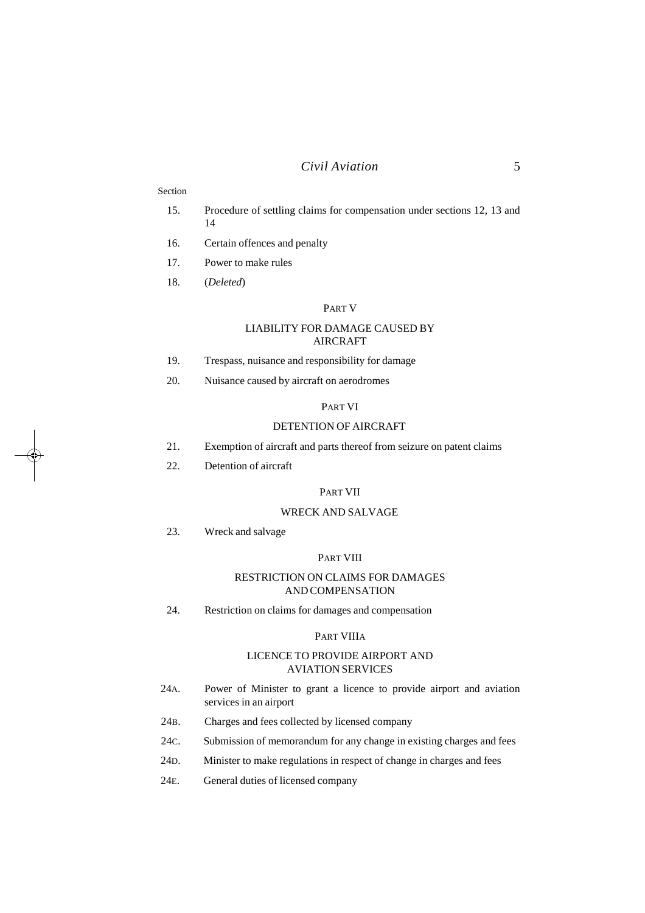#### *Civil Aviation* 5

#### Section

- 15. Procedure of settling claims for compensation under sections 12, 13 and 14
- 16. Certain offences and penalty
- 17. Power to make rules
- 18. (*Deleted*)

#### PART V

#### LIABILITY FOR DAMAGE CAUSED BY AIRCRAFT

- 19. Trespass, nuisance and responsibility for damage
- 20. Nuisance caused by aircraft on aerodromes

#### PART VI

#### DETENTION OF AIRCRAFT

- 21. Exemption of aircraft and parts thereof from seizure on patent claims
- 22. Detention of aircraft

#### PART VII

#### WRECK AND SALVAGE

23. Wreck and salvage

#### PART VIII

#### RESTRICTION ON CLAIMS FOR DAMAGES AND COMPENSATION

24. Restriction on claims for damages and compensation

#### PART VIIIA

#### LICENCE TO PROVIDE AIRPORT AND AVIATION SERVICES

- 24A. Power of Minister to grant a licence to provide airport and aviation services in an airport
- 24B. Charges and fees collected by licensed company
- 24C. Submission of memorandum for any change in existing charges and fees
- 24D. Minister to make regulations in respect of change in charges and fees
- 24E. General duties of licensed company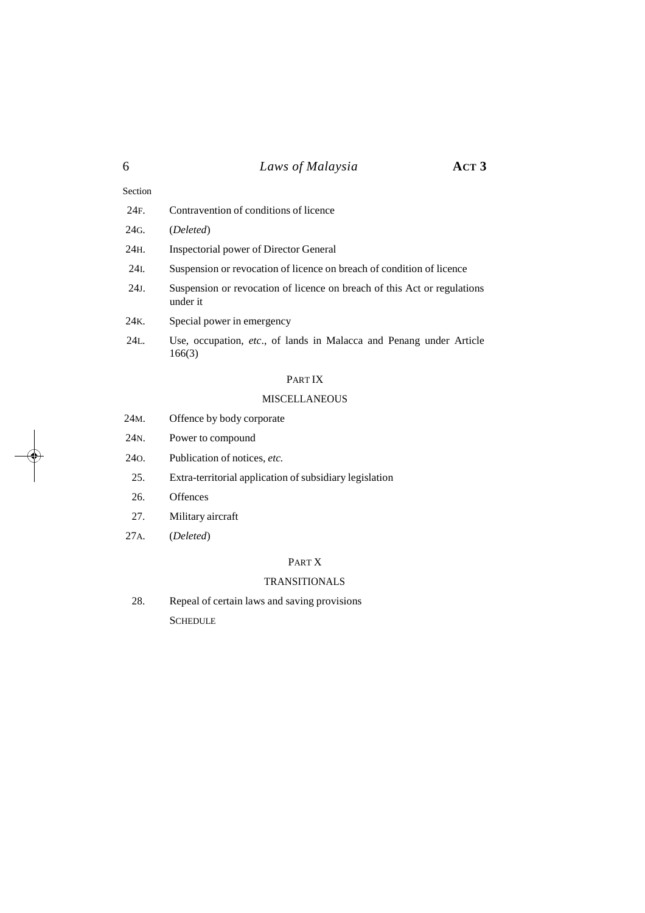# 6 *Laws of Malaysia* **ACT 3**

| 24F.    | Contravention of conditions of licence                                               |
|---------|--------------------------------------------------------------------------------------|
| 24G.    | (Deleted)                                                                            |
| 24H.    | Inspectorial power of Director General                                               |
| 24I.    | Suspension or revocation of licence on breach of condition of licence                |
| $24J$ . | Suspension or revocation of licence on breach of this Act or regulations<br>under it |
| 24K.    | Special power in emergency                                                           |
| 24L.    | Use, occupation, etc., of lands in Malacca and Penang under Article<br>166(3)        |

# PART IX

### MISCELLANEOUS

| 24 <sub>M</sub> . | Offence by body corporate                               |
|-------------------|---------------------------------------------------------|
| 24 <sub>N</sub>   | Power to compound                                       |
| 240.              | Publication of notices, etc.                            |
| 25.               | Extra-territorial application of subsidiary legislation |
| 26.               | Offences                                                |
| 27.               | Military aircraft                                       |
| 27A.              | (Deleted)                                               |

### PART X

### TRANSITIONALS

28. Repeal of certain laws and saving provisions **SCHEDULE** 

Section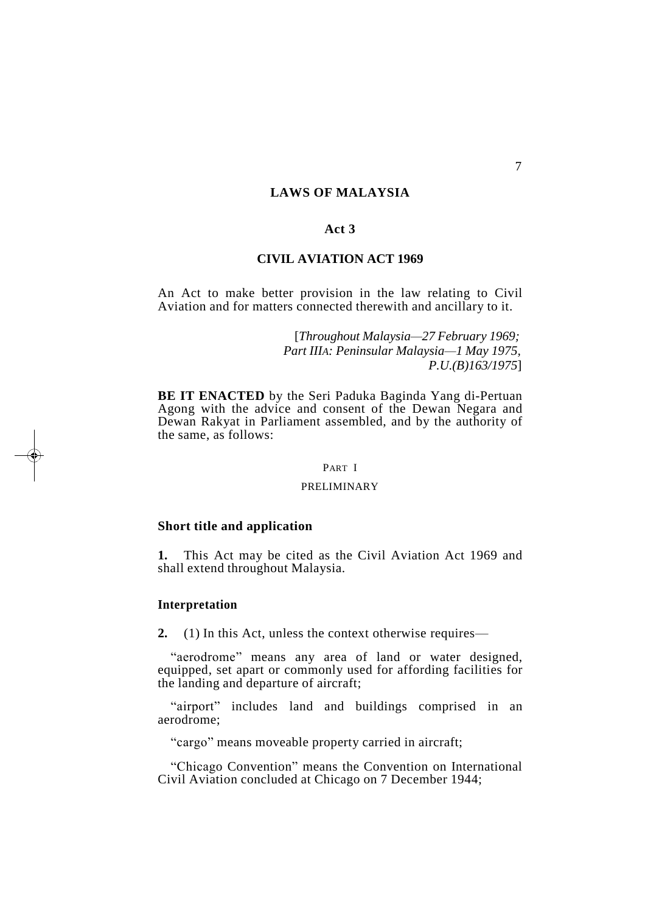### **LAWS OF MALAYSIA**

### **Act 3**

#### **CIVIL AVIATION ACT 1969**

An Act to make better provision in the law relating to Civil Aviation and for matters connected therewith and ancillary to it.

> [*Throughout Malaysia—27 February 1969; Part IIIA: Peninsular Malaysia—1 May 1975, P.U.(B)163/1975*]

**BE IT ENACTED** by the Seri Paduka Baginda Yang di-Pertuan Agong with the advice and consent of the Dewan Negara and Dewan Rakyat in Parliament assembled, and by the authority of the same, as follows:

#### PART I

#### PRELIMINARY

#### **Short title and application**

**1.** This Act may be cited as the Civil Aviation Act 1969 and shall extend throughout Malaysia.

#### **Interpretation**

**2.** (1) In this Act, unless the context otherwise requires—

"aerodrome" means any area of land or water designed, equipped, set apart or commonly used for affording facilities for the landing and departure of aircraft;

"airport" includes land and buildings comprised in an aerodrome;

"cargo" means moveable property carried in aircraft;

"Chicago Convention" means the Convention on International Civil Aviation concluded at Chicago on 7 December 1944;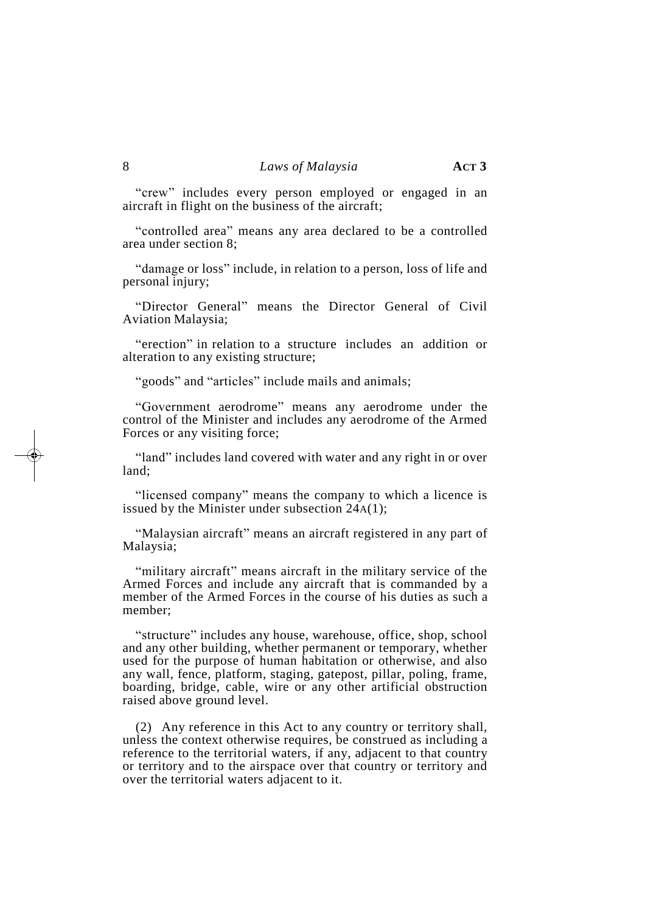"crew" includes every person employed or engaged in an aircraft in flight on the business of the aircraft;

"controlled area" means any area declared to be a controlled area under section 8;

"damage or loss" include, in relation to a person, loss of life and personal injury;

"Director General" means the Director General of Civil Aviation Malaysia;

"erection" in relation to a structure includes an addition or alteration to any existing structure;

"goods" and "articles" include mails and animals;

"Government aerodrome" means any aerodrome under the control of the Minister and includes any aerodrome of the Armed Forces or any visiting force;

"land" includes land covered with water and any right in or over land;

"licensed company" means the company to which a licence is issued by the Minister under subsection 24A(1);

"Malaysian aircraft" means an aircraft registered in any part of Malaysia;

"military aircraft" means aircraft in the military service of the Armed Forces and include any aircraft that is commanded by a member of the Armed Forces in the course of his duties as such a member;

"structure" includes any house, warehouse, office, shop, school and any other building, whether permanent or temporary, whether used for the purpose of human habitation or otherwise, and also any wall, fence, platform, staging, gatepost, pillar, poling, frame, boarding, bridge, cable, wire or any other artificial obstruction raised above ground level.

(2) Any reference in this Act to any country or territory shall, unless the context otherwise requires, be construed as including a reference to the territorial waters, if any, adjacent to that country or territory and to the airspace over that country or territory and over the territorial waters adjacent to it.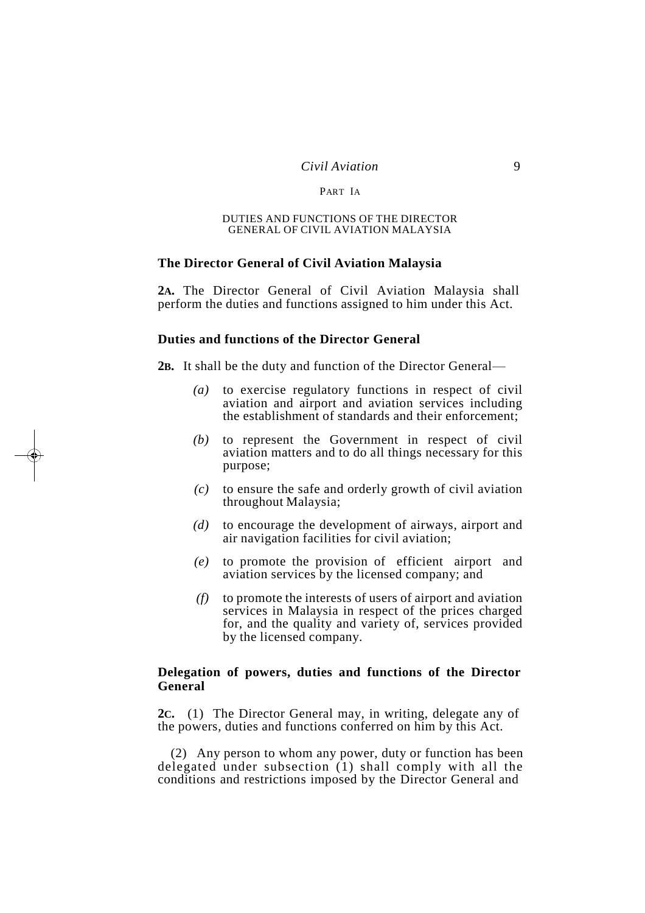#### *Civil Aviation* 9

#### PART IA

#### DUTIES AND FUNCTIONS OF THE DIRECTOR GENERAL OF CIVIL AVIATION MALAYSIA

#### **The Director General of Civil Aviation Malaysia**

**2A.** The Director General of Civil Aviation Malaysia shall perform the duties and functions assigned to him under this Act.

## **Duties and functions of the Director General**

**2B.** It shall be the duty and function of the Director General—

- *(a)* to exercise regulatory functions in respect of civil aviation and airport and aviation services including the establishment of standards and their enforcement;
- *(b)* to represent the Government in respect of civil aviation matters and to do all things necessary for this purpose;
- *(c)* to ensure the safe and orderly growth of civil aviation throughout Malaysia;
- *(d)* to encourage the development of airways, airport and air navigation facilities for civil aviation;
- *(e)* to promote the provision of efficient airport and aviation services by the licensed company; and
- *(f)* to promote the interests of users of airport and aviation services in Malaysia in respect of the prices charged for, and the quality and variety of, services provided by the licensed company.

#### **Delegation of powers, duties and functions of the Director General**

**2C.** (1) The Director General may, in writing, delegate any of the powers, duties and functions conferred on him by this Act.

(2) Any person to whom any power, duty or function has been delegated under subsection (1) shall comply with all the conditions and restrictions imposed by the Director General and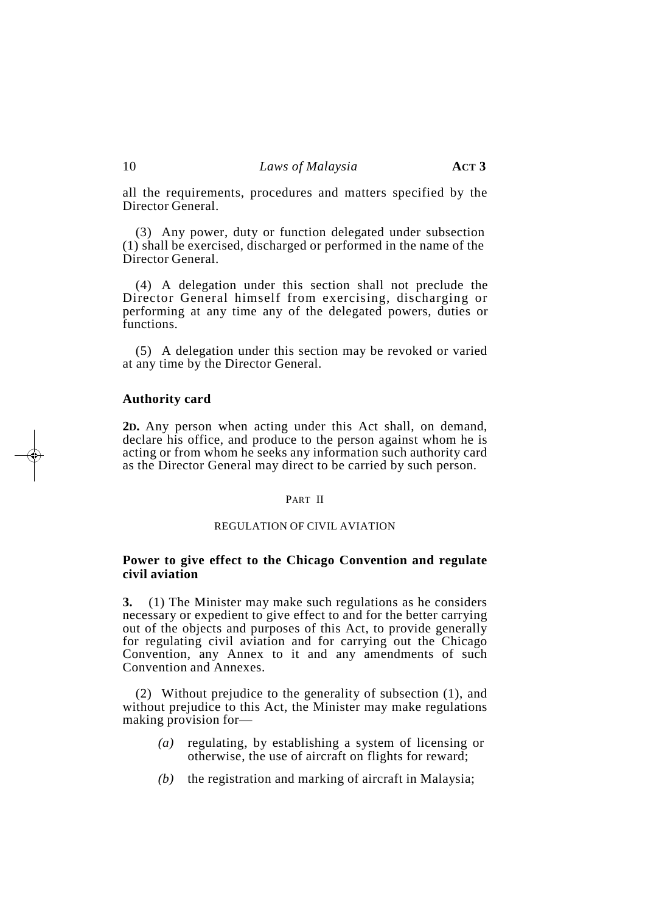all the requirements, procedures and matters specified by the Director General.

(3) Any power, duty or function delegated under subsection (1) shall be exercised, discharged or performed in the name of the Director General.

(4) A delegation under this section shall not preclude the Director General himself from exercising, discharging or performing at any time any of the delegated powers, duties or functions.

(5) A delegation under this section may be revoked or varied at any time by the Director General.

#### **Authority card**

**2D.** Any person when acting under this Act shall, on demand, declare his office, and produce to the person against whom he is acting or from whom he seeks any information such authority card as the Director General may direct to be carried by such person.

#### PART II

#### REGULATION OF CIVIL AVIATION

#### **Power to give effect to the Chicago Convention and regulate civil aviation**

**3.** (1) The Minister may make such regulations as he considers necessary or expedient to give effect to and for the better carrying out of the objects and purposes of this Act, to provide generally for regulating civil aviation and for carrying out the Chicago Convention, any Annex to it and any amendments of such Convention and Annexes.

(2) Without prejudice to the generality of subsection (1), and without prejudice to this Act, the Minister may make regulations making provision for—

- *(a)* regulating, by establishing a system of licensing or otherwise, the use of aircraft on flights for reward;
- *(b)* the registration and marking of aircraft in Malaysia;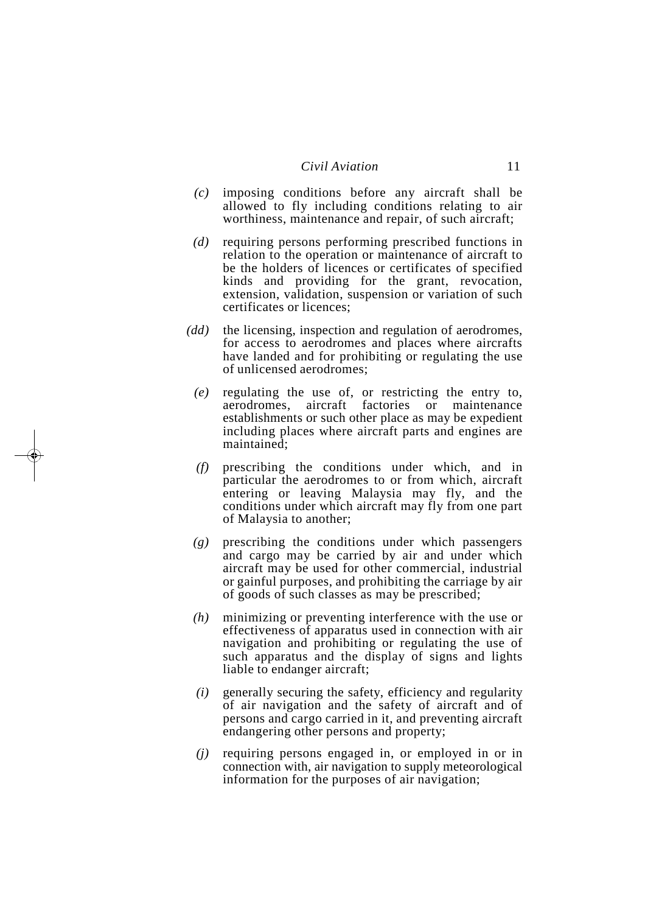- *(c)* imposing conditions before any aircraft shall be allowed to fly including conditions relating to air worthiness, maintenance and repair, of such aircraft;
- *(d)* requiring persons performing prescribed functions in relation to the operation or maintenance of aircraft to be the holders of licences or certificates of specified kinds and providing for the grant, revocation, extension, validation, suspension or variation of such certificates or licences;
- *(dd)* the licensing, inspection and regulation of aerodromes, for access to aerodromes and places where aircrafts have landed and for prohibiting or regulating the use of unlicensed aerodromes;
	- *(e)* regulating the use of, or restricting the entry to, aerodromes, aircraft factories or maintenance establishments or such other place as may be expedient including places where aircraft parts and engines are maintained;
	- *(f)* prescribing the conditions under which, and in particular the aerodromes to or from which, aircraft entering or leaving Malaysia may fly, and the conditions under which aircraft may fly from one part of Malaysia to another;
	- *(g)* prescribing the conditions under which passengers and cargo may be carried by air and under which aircraft may be used for other commercial, industrial or gainful purposes, and prohibiting the carriage by air of goods of such classes as may be prescribed;
	- *(h)* minimizing or preventing interference with the use or effectiveness of apparatus used in connection with air navigation and prohibiting or regulating the use of such apparatus and the display of signs and lights liable to endanger aircraft;
	- *(i)* generally securing the safety, efficiency and regularity of air navigation and the safety of aircraft and of persons and cargo carried in it, and preventing aircraft endangering other persons and property;
	- *(j)* requiring persons engaged in, or employed in or in connection with, air navigation to supply meteorological information for the purposes of air navigation;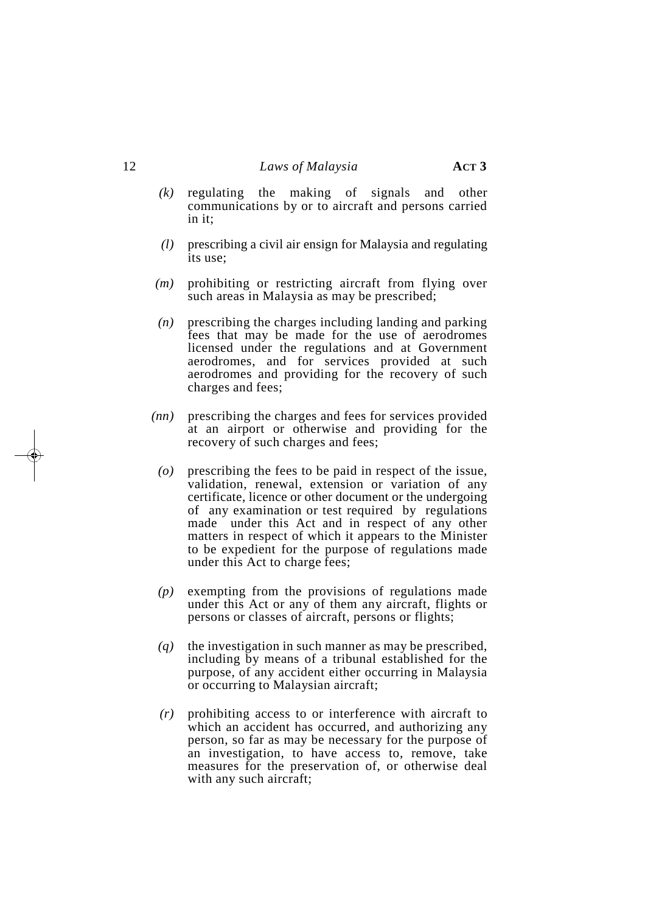- *(k)* regulating the making of signals and other communications by or to aircraft and persons carried in it;
- *(l)* prescribing a civil air ensign for Malaysia and regulating its use;
- *(m)* prohibiting or restricting aircraft from flying over such areas in Malaysia as may be prescribed;
- *(n)* prescribing the charges including landing and parking fees that may be made for the use of aerodromes licensed under the regulations and at Government aerodromes, and for services provided at such aerodromes and providing for the recovery of such charges and fees;
- *(nn)* prescribing the charges and fees for services provided at an airport or otherwise and providing for the recovery of such charges and fees;
- *(o)* prescribing the fees to be paid in respect of the issue, validation, renewal, extension or variation of any certificate, licence or other document or the undergoing of any examination or test required by regulations made under this Act and in respect of any other matters in respect of which it appears to the Minister to be expedient for the purpose of regulations made under this Act to charge fees;
- *(p)* exempting from the provisions of regulations made under this Act or any of them any aircraft, flights or persons or classes of aircraft, persons or flights;
- *(q)* the investigation in such manner as may be prescribed, including by means of a tribunal established for the purpose, of any accident either occurring in Malaysia or occurring to Malaysian aircraft;
- *(r)* prohibiting access to or interference with aircraft to which an accident has occurred, and authorizing any person, so far as may be necessary for the purpose of an investigation, to have access to, remove, take measures for the preservation of, or otherwise deal with any such aircraft;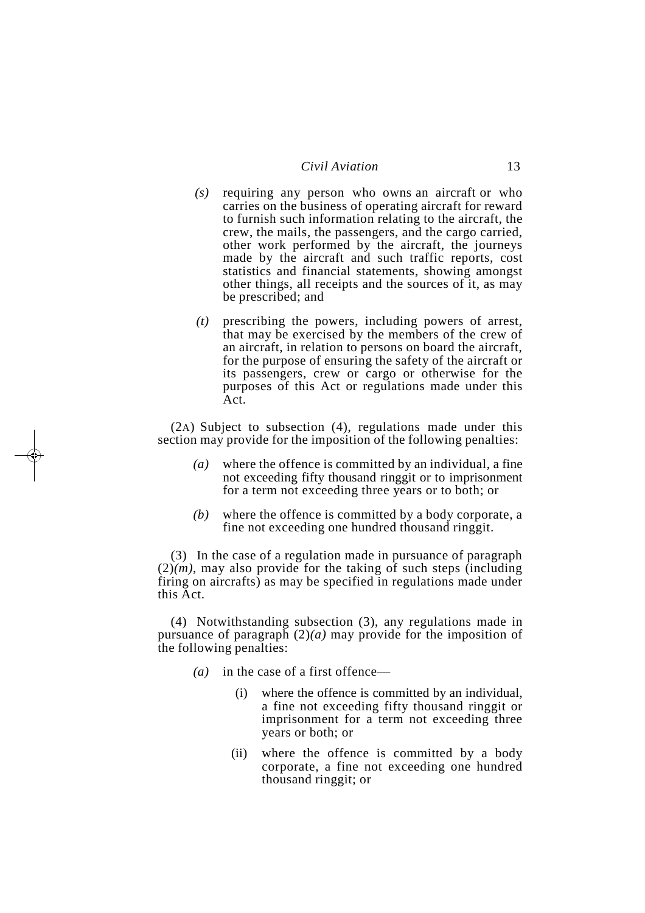#### *Civil Aviation* 13

- *(s)* requiring any person who owns an aircraft or who carries on the business of operating aircraft for reward to furnish such information relating to the aircraft, the crew, the mails, the passengers, and the cargo carried, other work performed by the aircraft, the journeys made by the aircraft and such traffic reports, cost statistics and financial statements, showing amongst other things, all receipts and the sources of it, as may be prescribed; and
- *(t)* prescribing the powers, including powers of arrest, that may be exercised by the members of the crew of an aircraft, in relation to persons on board the aircraft, for the purpose of ensuring the safety of the aircraft or its passengers, crew or cargo or otherwise for the purposes of this Act or regulations made under this Act.

(2A) Subject to subsection (4), regulations made under this section may provide for the imposition of the following penalties:

- *(a)* where the offence is committed by an individual, a fine not exceeding fifty thousand ringgit or to imprisonment for a term not exceeding three years or to both; or
- *(b)* where the offence is committed by a body corporate, a fine not exceeding one hundred thousand ringgit.

(3) In the case of a regulation made in pursuance of paragraph  $(2)(m)$ , may also provide for the taking of such steps (including firing on aircrafts) as may be specified in regulations made under this Act.

(4) Notwithstanding subsection (3), any regulations made in pursuance of paragraph (2)*(a)* may provide for the imposition of the following penalties:

- *(a)* in the case of a first offence
	- where the offence is committed by an individual, a fine not exceeding fifty thousand ringgit or imprisonment for a term not exceeding three years or both; or
	- (ii) where the offence is committed by a body corporate, a fine not exceeding one hundred thousand ringgit; or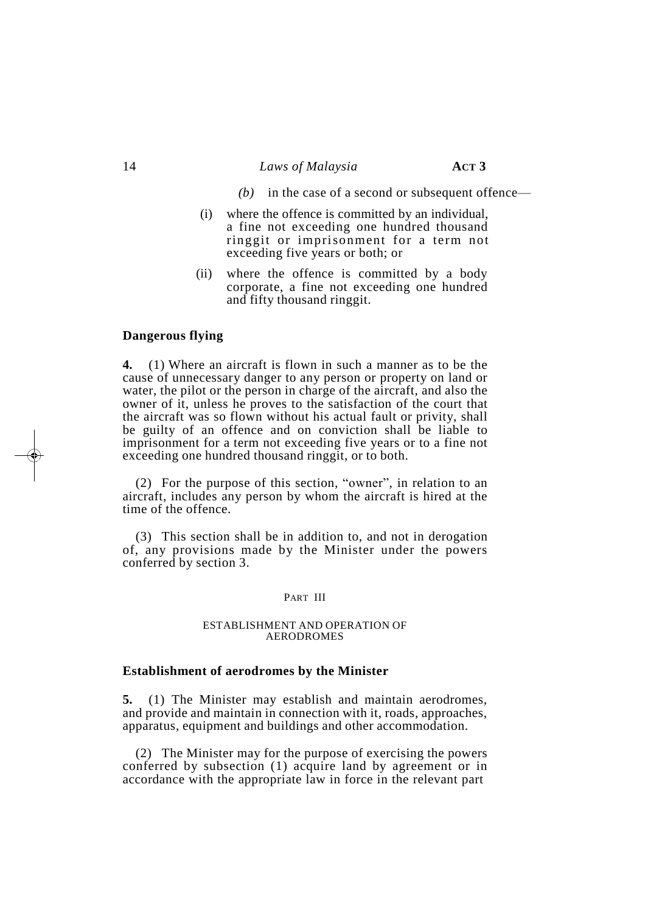#### 14 *Laws of Malaysia* **ACT 3**

- *(b)* in the case of a second or subsequent offence—
- (i) where the offence is committed by an individual, a fine not exceeding one hundred thousand ringgit or imprisonment for a term not exceeding five years or both; or
- (ii) where the offence is committed by a body corporate, a fine not exceeding one hundred and fifty thousand ringgit.

#### **Dangerous flying**

**4.** (1) Where an aircraft is flown in such a manner as to be the cause of unnecessary danger to any person or property on land or water, the pilot or the person in charge of the aircraft, and also the owner of it, unless he proves to the satisfaction of the court that the aircraft was so flown without his actual fault or privity, shall be guilty of an offence and on conviction shall be liable to imprisonment for a term not exceeding five years or to a fine not exceeding one hundred thousand ringgit, or to both.

(2) For the purpose of this section, "owner", in relation to an aircraft, includes any person by whom the aircraft is hired at the time of the offence.

(3) This section shall be in addition to, and not in derogation of, any provisions made by the Minister under the powers conferred by section 3.

#### PART III

#### ESTABLISHMENT AND OPERATION OF AERODROMES

#### **Establishment of aerodromes by the Minister**

**5.** (1) The Minister may establish and maintain aerodromes, and provide and maintain in connection with it, roads, approaches, apparatus, equipment and buildings and other accommodation.

(2) The Minister may for the purpose of exercising the powers conferred by subsection (1) acquire land by agreement or in accordance with the appropriate law in force in the relevant part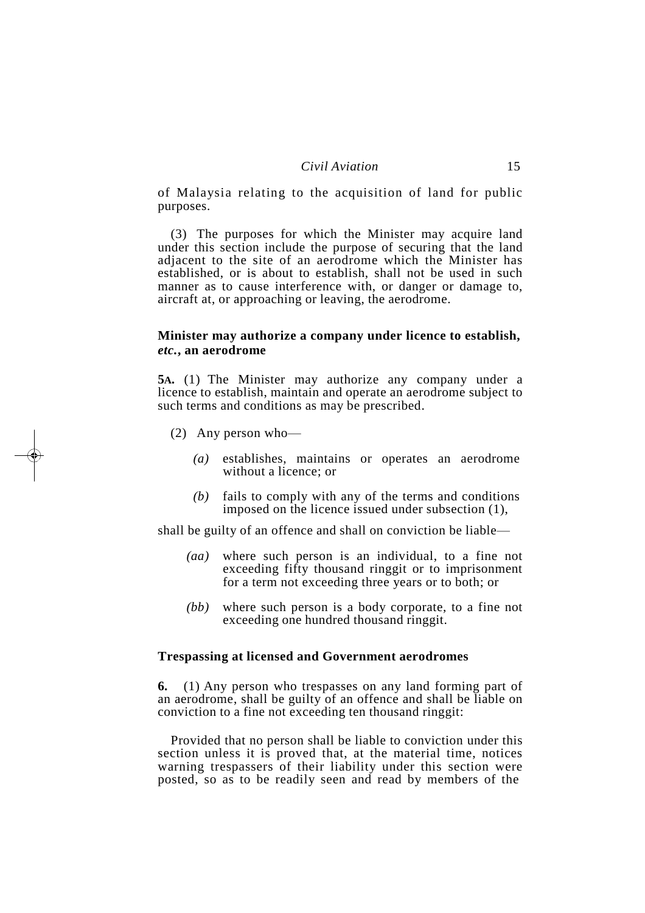of Malaysia relating to the acquisition of land for public purposes.

(3) The purposes for which the Minister may acquire land under this section include the purpose of securing that the land adjacent to the site of an aerodrome which the Minister has established, or is about to establish, shall not be used in such manner as to cause interference with, or danger or damage to, aircraft at, or approaching or leaving, the aerodrome.

#### **Minister may authorize a company under licence to establish,** *etc.***, an aerodrome**

**5A.** (1) The Minister may authorize any company under a licence to establish, maintain and operate an aerodrome subject to such terms and conditions as may be prescribed.

- (2) Any person who—
	- *(a)* establishes, maintains or operates an aerodrome without a licence; or
	- *(b)* fails to comply with any of the terms and conditions imposed on the licence issued under subsection (1),

shall be guilty of an offence and shall on conviction be liable—

- *(aa)* where such person is an individual, to a fine not exceeding fifty thousand ringgit or to imprisonment for a term not exceeding three years or to both; or
- *(bb)* where such person is a body corporate, to a fine not exceeding one hundred thousand ringgit.

#### **Trespassing at licensed and Government aerodromes**

**6.** (1) Any person who trespasses on any land forming part of an aerodrome, shall be guilty of an offence and shall be liable on conviction to a fine not exceeding ten thousand ringgit:

Provided that no person shall be liable to conviction under this section unless it is proved that, at the material time, notices warning trespassers of their liability under this section were posted, so as to be readily seen and read by members of the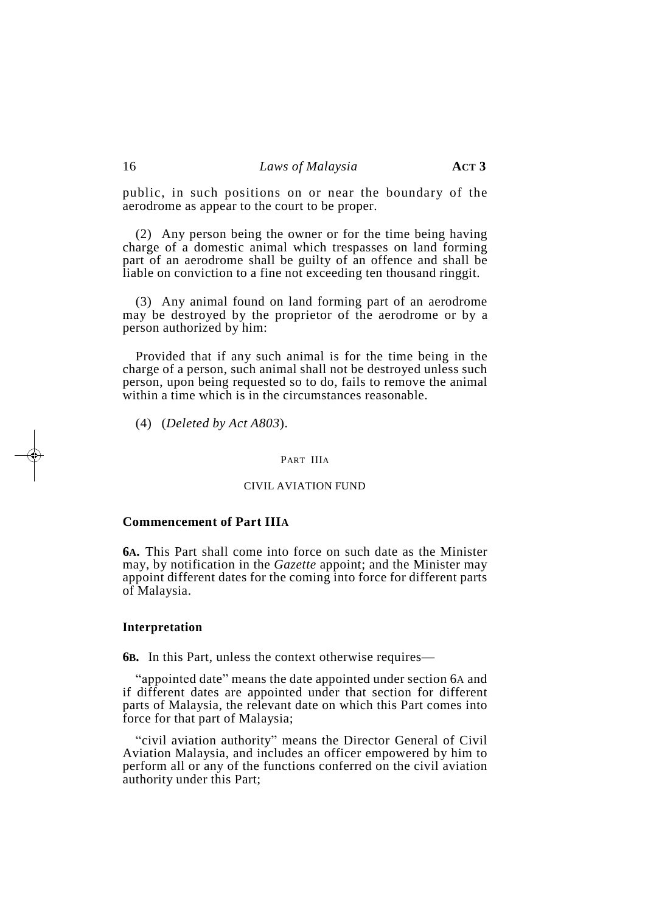public, in such positions on or near the boundary of the aerodrome as appear to the court to be proper.

(2) Any person being the owner or for the time being having charge of a domestic animal which trespasses on land forming part of an aerodrome shall be guilty of an offence and shall be liable on conviction to a fine not exceeding ten thousand ringgit.

(3) Any animal found on land forming part of an aerodrome may be destroyed by the proprietor of the aerodrome or by a person authorized by him:

Provided that if any such animal is for the time being in the charge of a person, such animal shall not be destroyed unless such person, upon being requested so to do, fails to remove the animal within a time which is in the circumstances reasonable.

(4) (*Deleted by Act A803*).

#### PART IIIA

#### CIVIL AVIATION FUND

#### **Commencement of Part IIIA**

**6A.** This Part shall come into force on such date as the Minister may, by notification in the *Gazette* appoint; and the Minister may appoint different dates for the coming into force for different parts of Malaysia.

#### **Interpretation**

**6B.** In this Part, unless the context otherwise requires—

"appointed date" means the date appointed under section 6A and if different dates are appointed under that section for different parts of Malaysia, the relevant date on which this Part comes into force for that part of Malaysia;

"civil aviation authority" means the Director General of Civil Aviation Malaysia, and includes an officer empowered by him to perform all or any of the functions conferred on the civil aviation authority under this Part;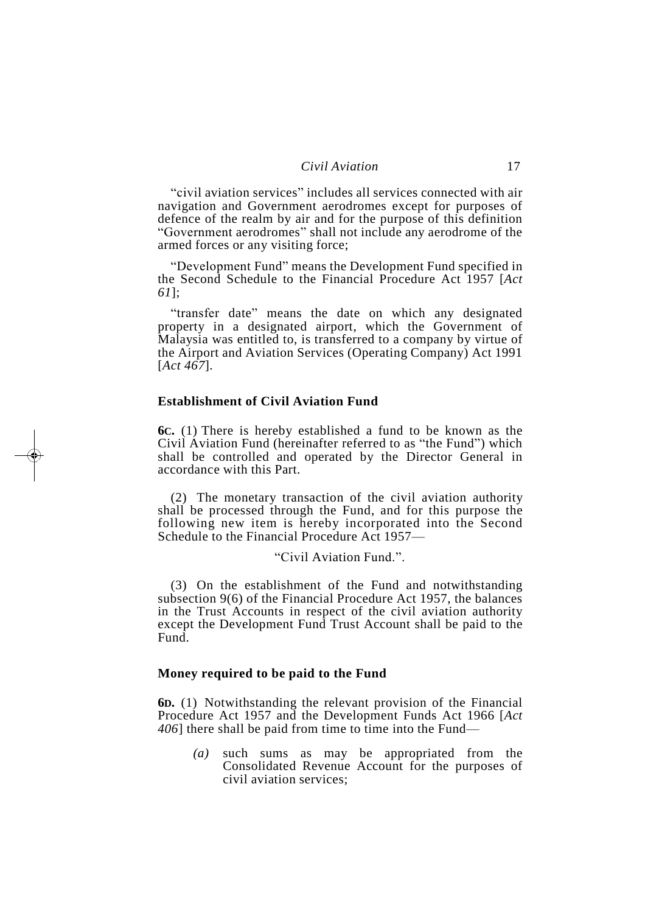"civil aviation services" includes all services connected with air navigation and Government aerodromes except for purposes of defence of the realm by air and for the purpose of this definition "Government aerodromes" shall not include any aerodrome of the armed forces or any visiting force;

"Development Fund" means the Development Fund specified in the Second Schedule to the Financial Procedure Act 1957 [*Act 61*];

"transfer date" means the date on which any designated property in a designated airport, which the Government of Malaysia was entitled to, is transferred to a company by virtue of the Airport and Aviation Services (Operating Company) Act 1991 [*Act 467*].

#### **Establishment of Civil Aviation Fund**

**6C.** (1) There is hereby established a fund to be known as the Civil Aviation Fund (hereinafter referred to as "the Fund") which shall be controlled and operated by the Director General in accordance with this Part.

(2) The monetary transaction of the civil aviation authority shall be processed through the Fund, and for this purpose the following new item is hereby incorporated into the Second Schedule to the Financial Procedure Act 1957—

"Civil Aviation Fund.".

(3) On the establishment of the Fund and notwithstanding subsection 9(6) of the Financial Procedure Act 1957, the balances in the Trust Accounts in respect of the civil aviation authority except the Development Fund Trust Account shall be paid to the Fund.

#### **Money required to be paid to the Fund**

**6D.** (1) Notwithstanding the relevant provision of the Financial Procedure Act 1957 and the Development Funds Act 1966 [*Act 406*] there shall be paid from time to time into the Fund—

*(a)* such sums as may be appropriated from the Consolidated Revenue Account for the purposes of civil aviation services;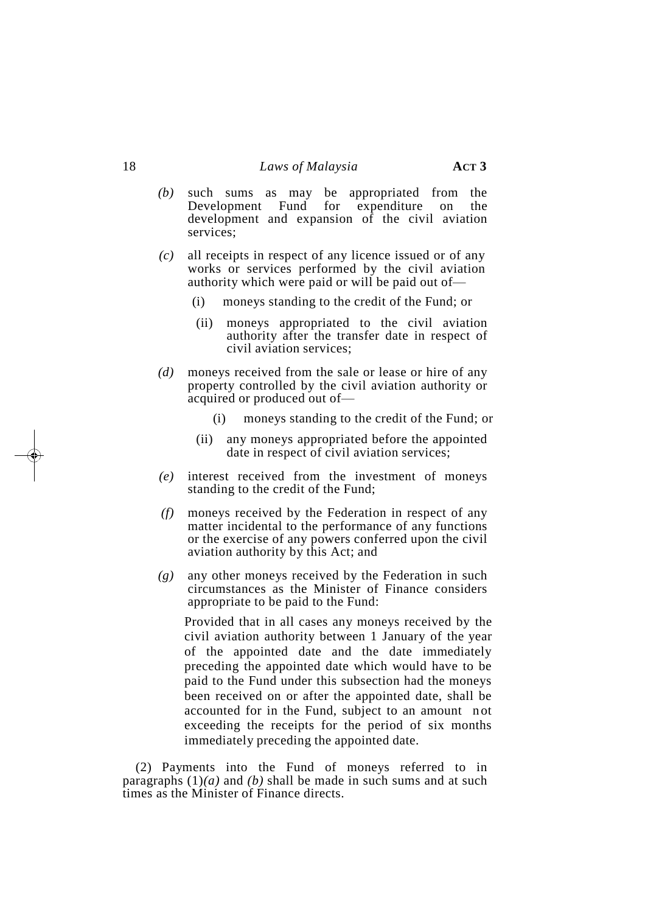- *(b)* such sums as may be appropriated from the Development Fund for expenditure on the development and expansion of the civil aviation services;
- *(c)* all receipts in respect of any licence issued or of any works or services performed by the civil aviation authority which were paid or will be paid out of—
	- (i) moneys standing to the credit of the Fund; or
	- (ii) moneys appropriated to the civil aviation authority after the transfer date in respect of civil aviation services;
- *(d)* moneys received from the sale or lease or hire of any property controlled by the civil aviation authority or acquired or produced out of—
	- (i) moneys standing to the credit of the Fund; or
	- (ii) any moneys appropriated before the appointed date in respect of civil aviation services;
- *(e)* interest received from the investment of moneys standing to the credit of the Fund;
- *(f)* moneys received by the Federation in respect of any matter incidental to the performance of any functions or the exercise of any powers conferred upon the civil aviation authority by this Act; and
- *(g)* any other moneys received by the Federation in such circumstances as the Minister of Finance considers appropriate to be paid to the Fund:

Provided that in all cases any moneys received by the civil aviation authority between 1 January of the year of the appointed date and the date immediately preceding the appointed date which would have to be paid to the Fund under this subsection had the moneys been received on or after the appointed date, shall be accounted for in the Fund, subject to an amount n ot exceeding the receipts for the period of six months immediately preceding the appointed date.

(2) Payments into the Fund of moneys referred to in paragraphs  $(1)(a)$  and  $(b)$  shall be made in such sums and at such times as the Minister of Finance directs.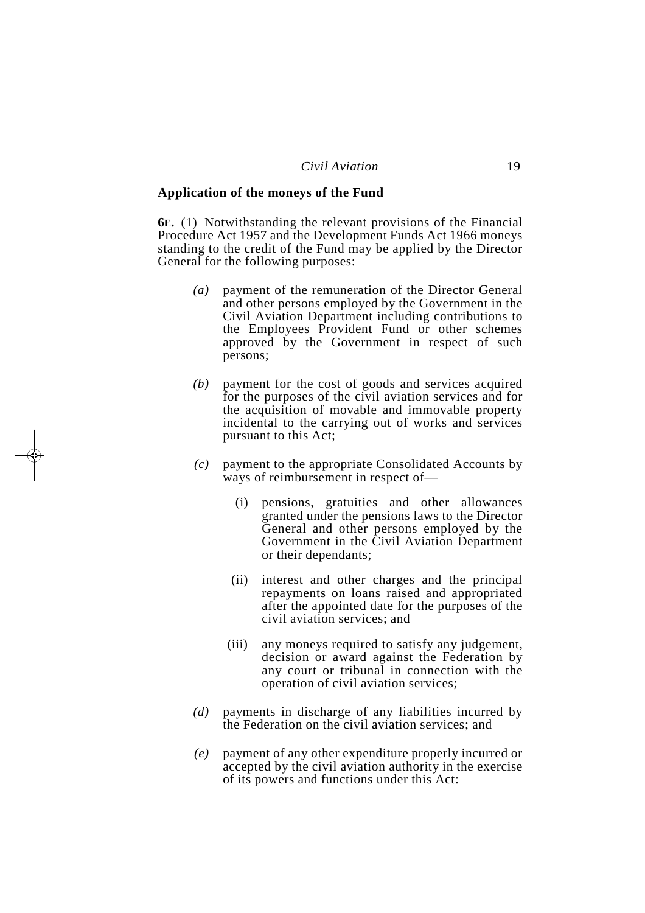#### **Application of the moneys of the Fund**

**6E.** (1) Notwithstanding the relevant provisions of the Financial Procedure Act 1957 and the Development Funds Act 1966 moneys standing to the credit of the Fund may be applied by the Director General for the following purposes:

- *(a)* payment of the remuneration of the Director General and other persons employed by the Government in the Civil Aviation Department including contributions to the Employees Provident Fund or other schemes approved by the Government in respect of such persons;
- *(b)* payment for the cost of goods and services acquired for the purposes of the civil aviation services and for the acquisition of movable and immovable property incidental to the carrying out of works and services pursuant to this Act;
- *(c)* payment to the appropriate Consolidated Accounts by ways of reimbursement in respect of—
	- (i) pensions, gratuities and other allowances granted under the pensions laws to the Director General and other persons employed by the Government in the Civil Aviation Department or their dependants;
	- (ii) interest and other charges and the principal repayments on loans raised and appropriated after the appointed date for the purposes of the civil aviation services; and
	- (iii) any moneys required to satisfy any judgement, decision or award against the Federation by any court or tribunal in connection with the operation of civil aviation services;
- *(d)* payments in discharge of any liabilities incurred by the Federation on the civil aviation services; and
- *(e)* payment of any other expenditure properly incurred or accepted by the civil aviation authority in the exercise of its powers and functions under this Act: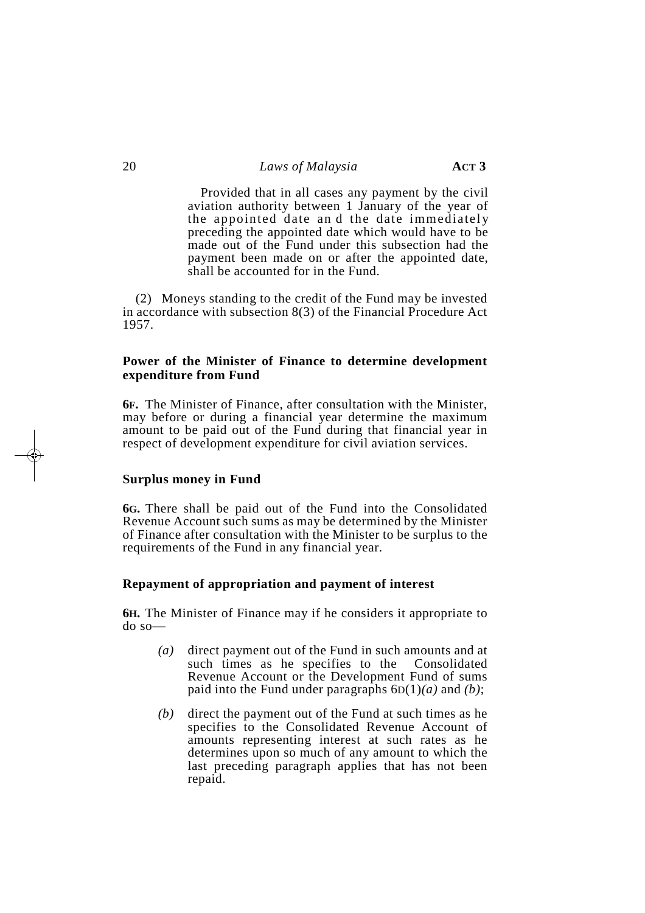Provided that in all cases any payment by the civil aviation authority between 1 January of the year of the appointed date and the date immediately preceding the appointed date which would have to be made out of the Fund under this subsection had the payment been made on or after the appointed date, shall be accounted for in the Fund.

(2) Moneys standing to the credit of the Fund may be invested in accordance with subsection 8(3) of the Financial Procedure Act 1957.

#### **Power of the Minister of Finance to determine development expenditure from Fund**

**6F.** The Minister of Finance, after consultation with the Minister, may before or during a financial year determine the maximum amount to be paid out of the Fund during that financial year in respect of development expenditure for civil aviation services.

#### **Surplus money in Fund**

**6G.** There shall be paid out of the Fund into the Consolidated Revenue Account such sums as may be determined by the Minister of Finance after consultation with the Minister to be surplus to the requirements of the Fund in any financial year.

#### **Repayment of appropriation and payment of interest**

**6H.** The Minister of Finance may if he considers it appropriate to do so—

- *(a)* direct payment out of the Fund in such amounts and at such times as he specifies to the Consolidated Revenue Account or the Development Fund of sums paid into the Fund under paragraphs 6D(1)*(a)* and *(b)*;
- *(b)* direct the payment out of the Fund at such times as he specifies to the Consolidated Revenue Account of amounts representing interest at such rates as he determines upon so much of any amount to which the last preceding paragraph applies that has not been repaid.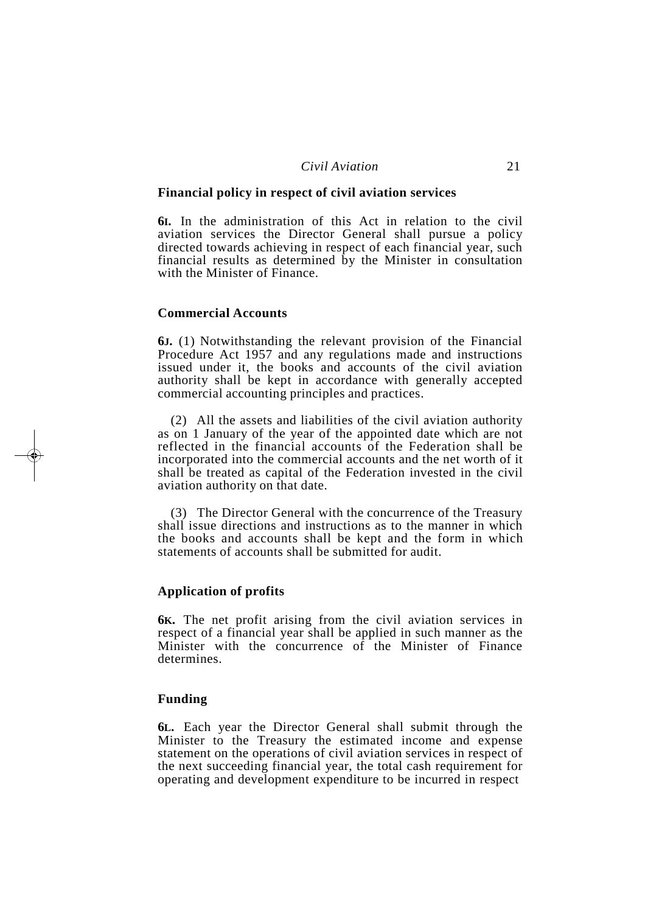#### *Civil Aviation* 21

#### **Financial policy in respect of civil aviation services**

**6I.** In the administration of this Act in relation to the civil aviation services the Director General shall pursue a policy directed towards achieving in respect of each financial year, such financial results as determined by the Minister in consultation with the Minister of Finance.

#### **Commercial Accounts**

**6J.** (1) Notwithstanding the relevant provision of the Financial Procedure Act 1957 and any regulations made and instructions issued under it, the books and accounts of the civil aviation authority shall be kept in accordance with generally accepted commercial accounting principles and practices.

(2) All the assets and liabilities of the civil aviation authority as on 1 January of the year of the appointed date which are not reflected in the financial accounts of the Federation shall be incorporated into the commercial accounts and the net worth of it shall be treated as capital of the Federation invested in the civil aviation authority on that date.

(3) The Director General with the concurrence of the Treasury shall issue directions and instructions as to the manner in which the books and accounts shall be kept and the form in which statements of accounts shall be submitted for audit.

#### **Application of profits**

**6K.** The net profit arising from the civil aviation services in respect of a financial year shall be applied in such manner as the Minister with the concurrence of the Minister of Finance determines.

#### **Funding**

**6L.** Each year the Director General shall submit through the Minister to the Treasury the estimated income and expense statement on the operations of civil aviation services in respect of the next succeeding financial year, the total cash requirement for operating and development expenditure to be incurred in respect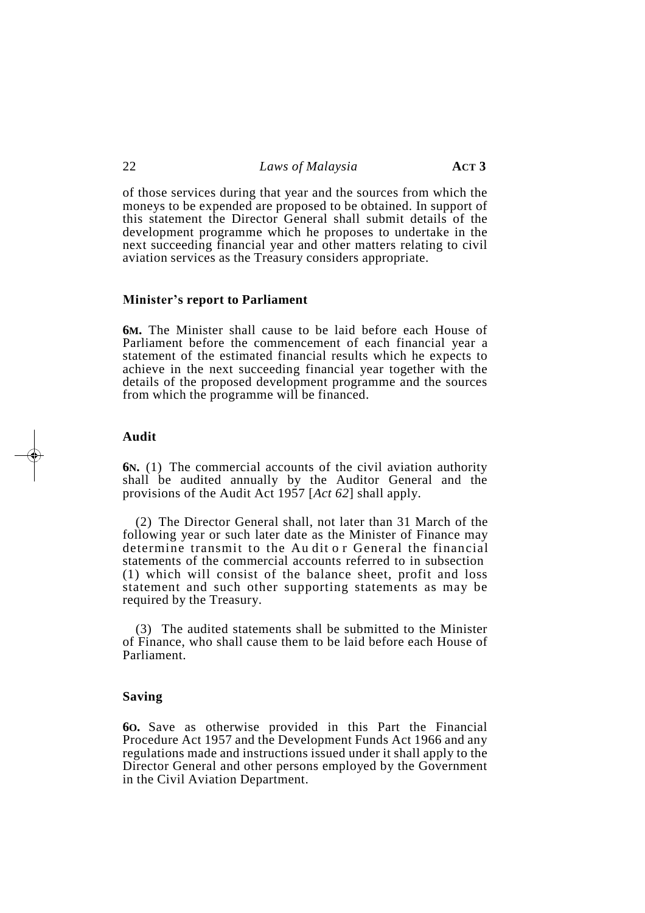of those services during that year and the sources from which the moneys to be expended are proposed to be obtained. In support of this statement the Director General shall submit details of the development programme which he proposes to undertake in the next succeeding financial year and other matters relating to civil aviation services as the Treasury considers appropriate.

#### **Minister's report to Parliament**

**6M.** The Minister shall cause to be laid before each House of Parliament before the commencement of each financial year a statement of the estimated financial results which he expects to achieve in the next succeeding financial year together with the details of the proposed development programme and the sources from which the programme will be financed.

#### **Audit**

**6N.** (1) The commercial accounts of the civil aviation authority shall be audited annually by the Auditor General and the provisions of the Audit Act 1957 [*Act 62*] shall apply.

(2) The Director General shall, not later than 31 March of the following year or such later date as the Minister of Finance may determine transmit to the Au dit or General the financial statements of the commercial accounts referred to in subsection (1) which will consist of the balance sheet, profit and loss statement and such other supporting statements as may be required by the Treasury.

(3) The audited statements shall be submitted to the Minister of Finance, who shall cause them to be laid before each House of Parliament.

#### **Saving**

**6O.** Save as otherwise provided in this Part the Financial Procedure Act 1957 and the Development Funds Act 1966 and any regulations made and instructions issued under it shall apply to the Director General and other persons employed by the Government in the Civil Aviation Department.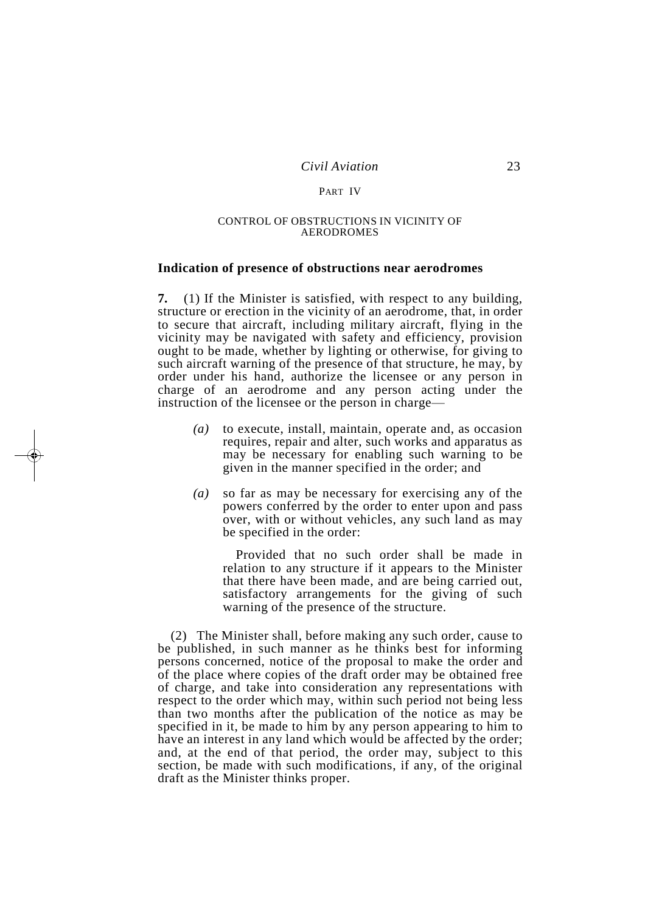#### PART IV

#### CONTROL OF OBSTRUCTIONS IN VICINITY OF AERODROMES

#### **Indication of presence of obstructions near aerodromes**

**7.** (1) If the Minister is satisfied, with respect to any building, structure or erection in the vicinity of an aerodrome, that, in order to secure that aircraft, including military aircraft, flying in the vicinity may be navigated with safety and efficiency, provision ought to be made, whether by lighting or otherwise, for giving to such aircraft warning of the presence of that structure, he may, by order under his hand, authorize the licensee or any person in charge of an aerodrome and any person acting under the instruction of the licensee or the person in charge—

- *(a)* to execute, install, maintain, operate and, as occasion requires, repair and alter, such works and apparatus as may be necessary for enabling such warning to be given in the manner specified in the order; and
- *(a)* so far as may be necessary for exercising any of the powers conferred by the order to enter upon and pass over, with or without vehicles, any such land as may be specified in the order:

Provided that no such order shall be made in relation to any structure if it appears to the Minister that there have been made, and are being carried out, satisfactory arrangements for the giving of such warning of the presence of the structure.

(2) The Minister shall, before making any such order, cause to be published, in such manner as he thinks best for informing persons concerned, notice of the proposal to make the order and of the place where copies of the draft order may be obtained free of charge, and take into consideration any representations with respect to the order which may, within such period not being less than two months after the publication of the notice as may be specified in it, be made to him by any person appearing to him to have an interest in any land which would be affected by the order; and, at the end of that period, the order may, subject to this section, be made with such modifications, if any, of the original draft as the Minister thinks proper.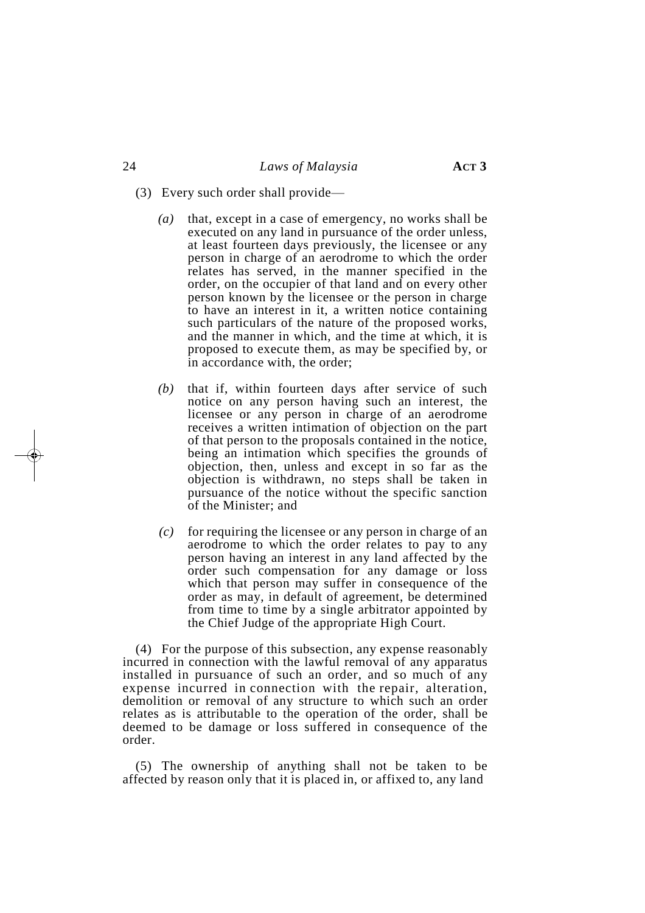- (3) Every such order shall provide—
	- *(a)* that, except in a case of emergency, no works shall be executed on any land in pursuance of the order unless, at least fourteen days previously, the licensee or any person in charge of an aerodrome to which the order relates has served, in the manner specified in the order, on the occupier of that land and on every other person known by the licensee or the person in charge to have an interest in it, a written notice containing such particulars of the nature of the proposed works, and the manner in which, and the time at which, it is proposed to execute them, as may be specified by, or in accordance with, the order;
	- *(b)* that if, within fourteen days after service of such notice on any person having such an interest, the licensee or any person in charge of an aerodrome receives a written intimation of objection on the part of that person to the proposals contained in the notice, being an intimation which specifies the grounds of objection, then, unless and except in so far as the objection is withdrawn, no steps shall be taken in pursuance of the notice without the specific sanction of the Minister; and
	- *(c)* for requiring the licensee or any person in charge of an aerodrome to which the order relates to pay to any person having an interest in any land affected by the order such compensation for any damage or loss which that person may suffer in consequence of the order as may, in default of agreement, be determined from time to time by a single arbitrator appointed by the Chief Judge of the appropriate High Court.

(4) For the purpose of this subsection, any expense reasonably incurred in connection with the lawful removal of any apparatus installed in pursuance of such an order, and so much of any expense incurred in connection with the repair, alteration, demolition or removal of any structure to which such an order relates as is attributable to the operation of the order, shall be deemed to be damage or loss suffered in consequence of the order.

(5) The ownership of anything shall not be taken to be affected by reason only that it is placed in, or affixed to, any land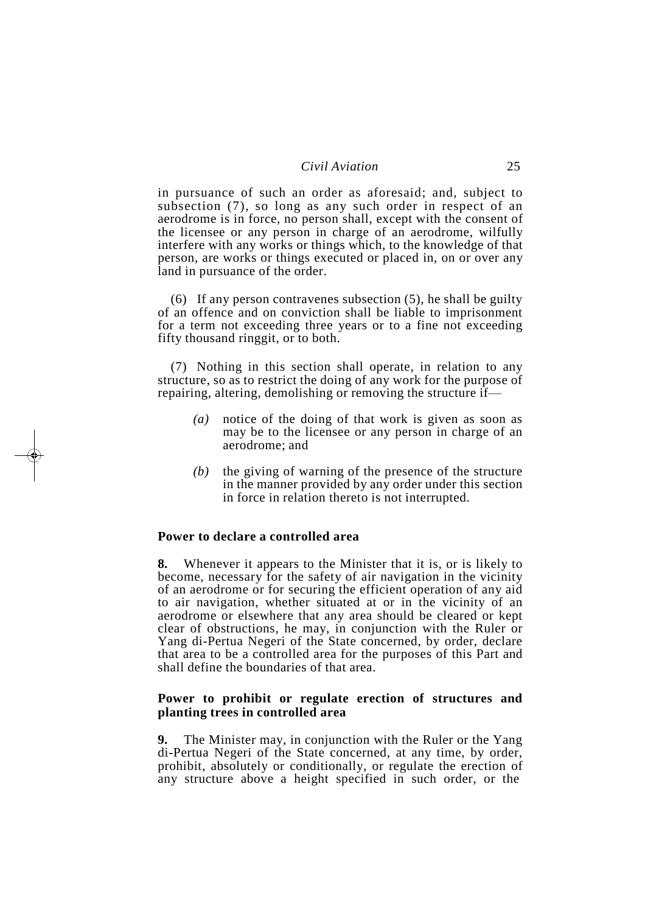in pursuance of such an order as aforesaid; and, subject to subsection (7), so long as any such order in respect of an aerodrome is in force, no person shall, except with the consent of the licensee or any person in charge of an aerodrome, wilfully interfere with any works or things which, to the knowledge of that person, are works or things executed or placed in, on or over any land in pursuance of the order.

(6) If any person contravenes subsection (5), he shall be guilty of an offence and on conviction shall be liable to imprisonment for a term not exceeding three years or to a fine not exceeding fifty thousand ringgit, or to both.

(7) Nothing in this section shall operate, in relation to any structure, so as to restrict the doing of any work for the purpose of repairing, altering, demolishing or removing the structure if—

- *(a)* notice of the doing of that work is given as soon as may be to the licensee or any person in charge of an aerodrome; and
- *(b)* the giving of warning of the presence of the structure in the manner provided by any order under this section in force in relation thereto is not interrupted.

#### **Power to declare a controlled area**

**8.** Whenever it appears to the Minister that it is, or is likely to become, necessary for the safety of air navigation in the vicinity of an aerodrome or for securing the efficient operation of any aid to air navigation, whether situated at or in the vicinity of an aerodrome or elsewhere that any area should be cleared or kept clear of obstructions, he may, in conjunction with the Ruler or Yang di-Pertua Negeri of the State concerned, by order, declare that area to be a controlled area for the purposes of this Part and shall define the boundaries of that area.

### **Power to prohibit or regulate erection of structures and planting trees in controlled area**

**9.** The Minister may, in conjunction with the Ruler or the Yang di-Pertua Negeri of the State concerned, at any time, by order, prohibit, absolutely or conditionally, or regulate the erection of any structure above a height specified in such order, or the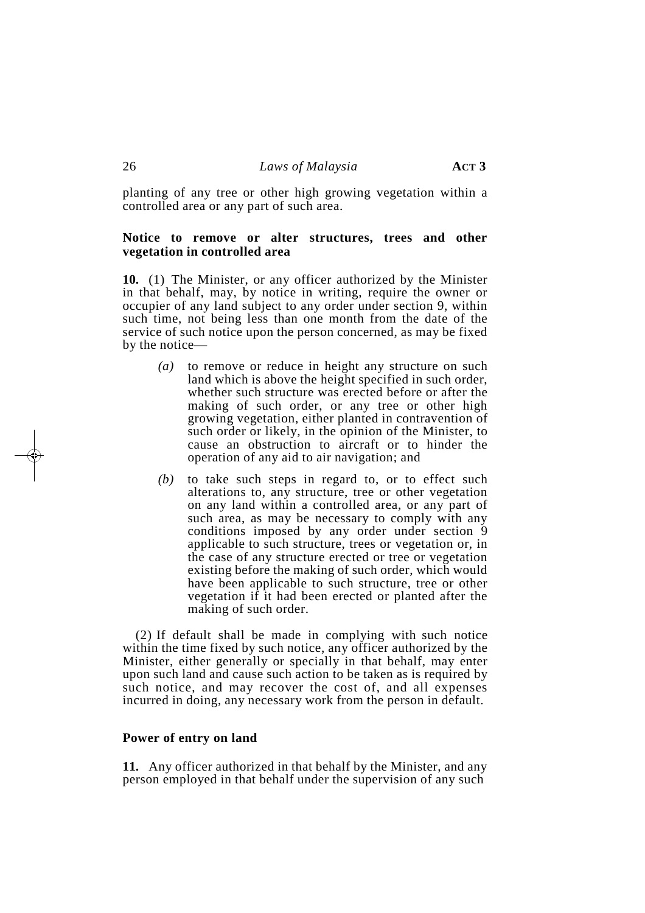planting of any tree or other high growing vegetation within a controlled area or any part of such area.

#### **Notice to remove or alter structures, trees and other vegetation in controlled area**

**10.** (1) The Minister, or any officer authorized by the Minister in that behalf, may, by notice in writing, require the owner or occupier of any land subject to any order under section 9, within such time, not being less than one month from the date of the service of such notice upon the person concerned, as may be fixed by the notice—

- *(a)* to remove or reduce in height any structure on such land which is above the height specified in such order, whether such structure was erected before or after the making of such order, or any tree or other high growing vegetation, either planted in contravention of such order or likely, in the opinion of the Minister, to cause an obstruction to aircraft or to hinder the operation of any aid to air navigation; and
- *(b)* to take such steps in regard to, or to effect such alterations to, any structure, tree or other vegetation on any land within a controlled area, or any part of such area, as may be necessary to comply with any conditions imposed by any order under section 9 applicable to such structure, trees or vegetation or, in the case of any structure erected or tree or vegetation existing before the making of such order, which would have been applicable to such structure, tree or other vegetation if it had been erected or planted after the making of such order.

(2) If default shall be made in complying with such notice within the time fixed by such notice, any officer authorized by the Minister, either generally or specially in that behalf, may enter upon such land and cause such action to be taken as is required by such notice, and may recover the cost of, and all expenses incurred in doing, any necessary work from the person in default.

#### **Power of entry on land**

**11.** Any officer authorized in that behalf by the Minister, and any person employed in that behalf under the supervision of any such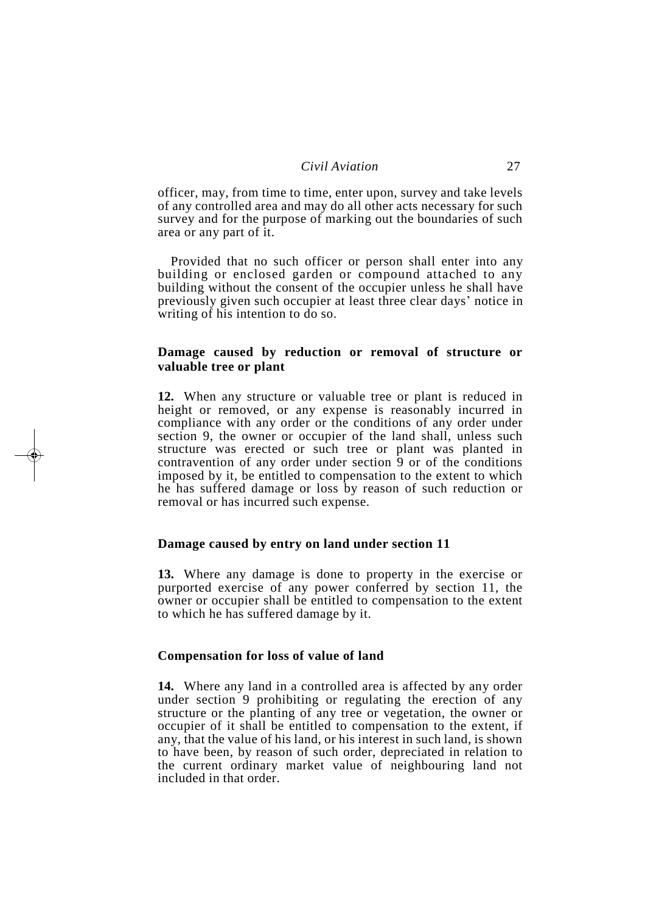officer, may, from time to time, enter upon, survey and take levels of any controlled area and may do all other acts necessary for such survey and for the purpose of marking out the boundaries of such area or any part of it.

Provided that no such officer or person shall enter into any building or enclosed garden or compound attached to any building without the consent of the occupier unless he shall have previously given such occupier at least three clear days' notice in writing of his intention to do so.

#### **Damage caused by reduction or removal of structure or valuable tree or plant**

**12.** When any structure or valuable tree or plant is reduced in height or removed, or any expense is reasonably incurred in compliance with any order or the conditions of any order under section 9, the owner or occupier of the land shall, unless such structure was erected or such tree or plant was planted in contravention of any order under section 9 or of the conditions imposed by it, be entitled to compensation to the extent to which he has suffered damage or loss by reason of such reduction or removal or has incurred such expense.

#### **Damage caused by entry on land under section 11**

**13.** Where any damage is done to property in the exercise or purported exercise of any power conferred by section 11, the owner or occupier shall be entitled to compensation to the extent to which he has suffered damage by it.

#### **Compensation for loss of value of land**

**14.** Where any land in a controlled area is affected by any order under section 9 prohibiting or regulating the erection of any structure or the planting of any tree or vegetation, the owner or occupier of it shall be entitled to compensation to the extent, if any, that the value of his land, or his interest in such land, is shown to have been, by reason of such order, depreciated in relation to the current ordinary market value of neighbouring land not included in that order.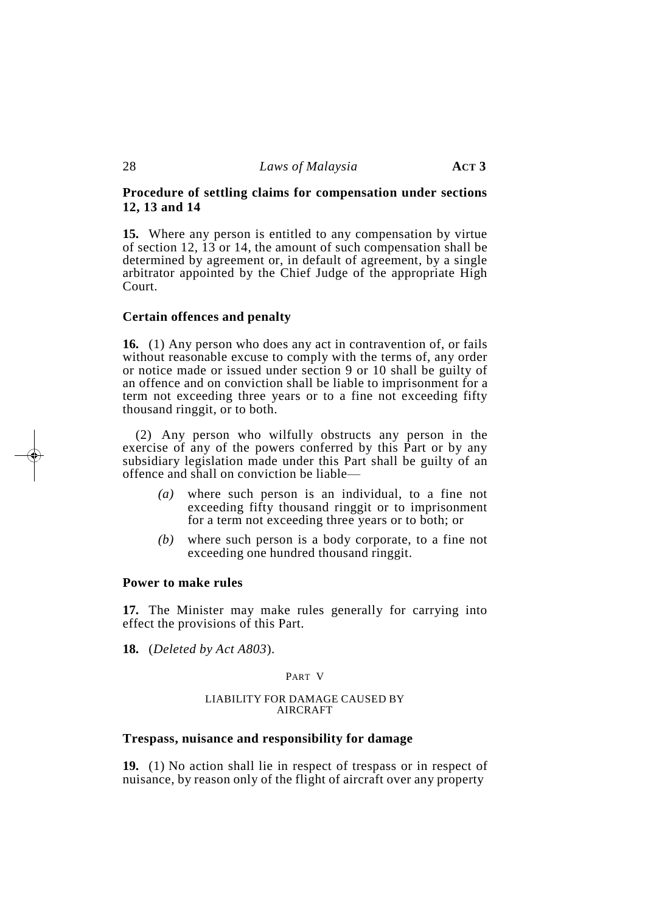#### **Procedure of settling claims for compensation under sections 12, 13 and 14**

**15.** Where any person is entitled to any compensation by virtue of section 12, 13 or 14, the amount of such compensation shall be determined by agreement or, in default of agreement, by a single arbitrator appointed by the Chief Judge of the appropriate High Court.

#### **Certain offences and penalty**

**16.** (1) Any person who does any act in contravention of, or fails without reasonable excuse to comply with the terms of, any order or notice made or issued under section 9 or 10 shall be guilty of an offence and on conviction shall be liable to imprisonment for a term not exceeding three years or to a fine not exceeding fifty thousand ringgit, or to both.

(2) Any person who wilfully obstructs any person in the exercise of any of the powers conferred by this Part or by any subsidiary legislation made under this Part shall be guilty of an offence and shall on conviction be liable—

- *(a)* where such person is an individual, to a fine not exceeding fifty thousand ringgit or to imprisonment for a term not exceeding three years or to both; or
- *(b)* where such person is a body corporate, to a fine not exceeding one hundred thousand ringgit.

#### **Power to make rules**

**17.** The Minister may make rules generally for carrying into effect the provisions of this Part.

**18.** (*Deleted by Act A803*).

#### PART V

#### LIABILITY FOR DAMAGE CAUSED BY AIRCRAFT

#### **Trespass, nuisance and responsibility for damage**

**19.** (1) No action shall lie in respect of trespass or in respect of nuisance, by reason only of the flight of aircraft over any property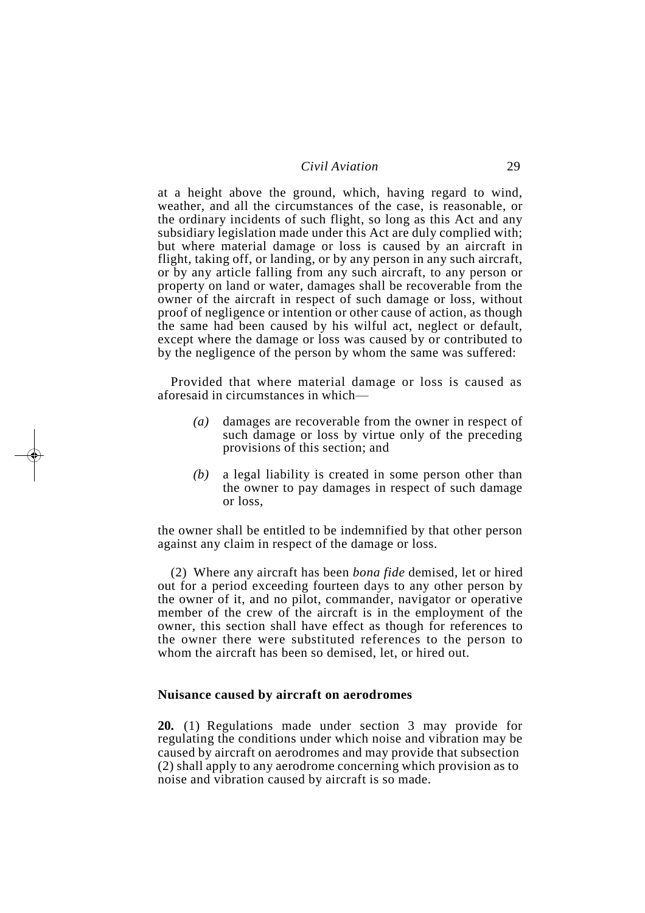at a height above the ground, which, having regard to wind, weather, and all the circumstances of the case, is reasonable, or the ordinary incidents of such flight, so long as this Act and any subsidiary legislation made under this Act are duly complied with; but where material damage or loss is caused by an aircraft in flight, taking off, or landing, or by any person in any such aircraft, or by any article falling from any such aircraft, to any person or property on land or water, damages shall be recoverable from the owner of the aircraft in respect of such damage or loss, without proof of negligence or intention or other cause of action, as though the same had been caused by his wilful act, neglect or default, except where the damage or loss was caused by or contributed to by the negligence of the person by whom the same was suffered:

Provided that where material damage or loss is caused as aforesaid in circumstances in which—

- *(a)* damages are recoverable from the owner in respect of such damage or loss by virtue only of the preceding provisions of this section; and
- *(b)* a legal liability is created in some person other than the owner to pay damages in respect of such damage or loss,

the owner shall be entitled to be indemnified by that other person against any claim in respect of the damage or loss.

(2) Where any aircraft has been *bona fide* demised, let or hired out for a period exceeding fourteen days to any other person by the owner of it, and no pilot, commander, navigator or operative member of the crew of the aircraft is in the employment of the owner, this section shall have effect as though for references to the owner there were substituted references to the person to whom the aircraft has been so demised, let, or hired out.

#### **Nuisance caused by aircraft on aerodromes**

**20.** (1) Regulations made under section 3 may provide for regulating the conditions under which noise and vibration may be caused by aircraft on aerodromes and may provide that subsection (2) shall apply to any aerodrome concerning which provision as to noise and vibration caused by aircraft is so made.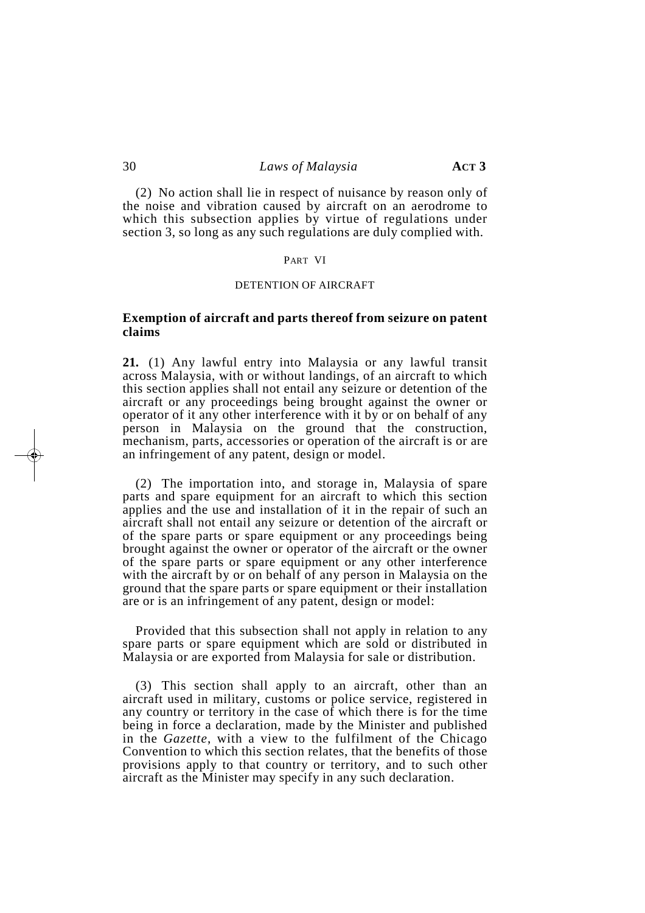(2) No action shall lie in respect of nuisance by reason only of the noise and vibration caused by aircraft on an aerodrome to which this subsection applies by virtue of regulations under section 3, so long as any such regulations are duly complied with.

#### PART VI

#### DETENTION OF AIRCRAFT

#### **Exemption of aircraft and parts thereof from seizure on patent claims**

**21.** (1) Any lawful entry into Malaysia or any lawful transit across Malaysia, with or without landings, of an aircraft to which this section applies shall not entail any seizure or detention of the aircraft or any proceedings being brought against the owner or operator of it any other interference with it by or on behalf of any person in Malaysia on the ground that the construction, mechanism, parts, accessories or operation of the aircraft is or are an infringement of any patent, design or model.

(2) The importation into, and storage in, Malaysia of spare parts and spare equipment for an aircraft to which this section applies and the use and installation of it in the repair of such an aircraft shall not entail any seizure or detention of the aircraft or of the spare parts or spare equipment or any proceedings being brought against the owner or operator of the aircraft or the owner of the spare parts or spare equipment or any other interference with the aircraft by or on behalf of any person in Malaysia on the ground that the spare parts or spare equipment or their installation are or is an infringement of any patent, design or model:

Provided that this subsection shall not apply in relation to any spare parts or spare equipment which are sold or distributed in Malaysia or are exported from Malaysia for sale or distribution.

(3) This section shall apply to an aircraft, other than an aircraft used in military, customs or police service, registered in any country or territory in the case of which there is for the time being in force a declaration, made by the Minister and published in the *Gazette*, with a view to the fulfilment of the Chicago Convention to which this section relates, that the benefits of those provisions apply to that country or territory, and to such other aircraft as the Minister may specify in any such declaration.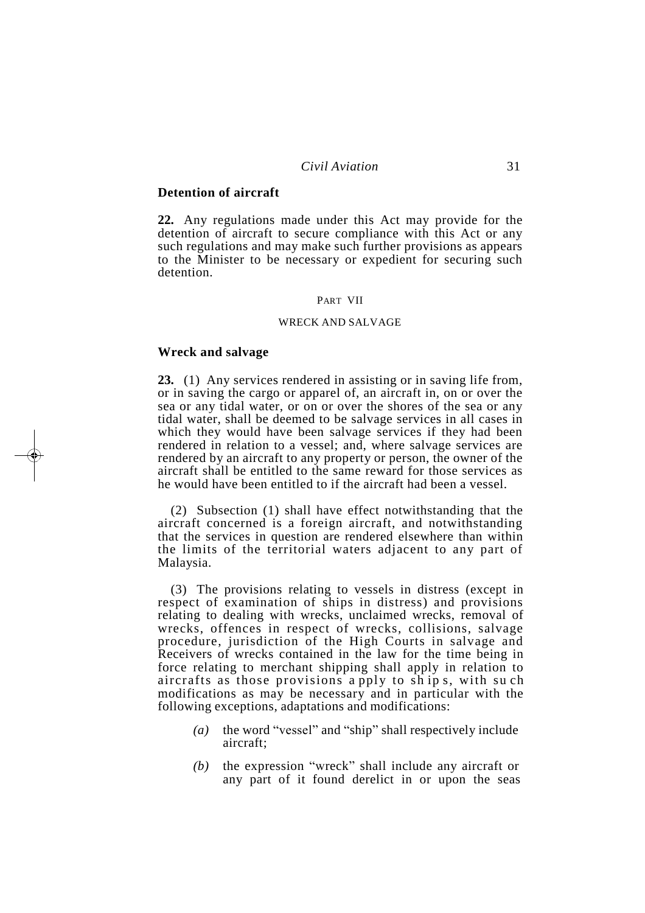#### **Detention of aircraft**

**22.** Any regulations made under this Act may provide for the detention of aircraft to secure compliance with this Act or any such regulations and may make such further provisions as appears to the Minister to be necessary or expedient for securing such detention.

#### PART VII

#### WRECK AND SALVAGE

#### **Wreck and salvage**

**23.** (1) Any services rendered in assisting or in saving life from, or in saving the cargo or apparel of, an aircraft in, on or over the sea or any tidal water, or on or over the shores of the sea or any tidal water, shall be deemed to be salvage services in all cases in which they would have been salvage services if they had been rendered in relation to a vessel; and, where salvage services are rendered by an aircraft to any property or person, the owner of the aircraft shall be entitled to the same reward for those services as he would have been entitled to if the aircraft had been a vessel.

(2) Subsection (1) shall have effect notwithstanding that the aircraft concerned is a foreign aircraft, and notwithstanding that the services in question are rendered elsewhere than within the limits of the territorial waters adjacent to any part of Malaysia.

(3) The provisions relating to vessels in distress (except in respect of examination of ships in distress) and provisions relating to dealing with wrecks, unclaimed wrecks, removal of wrecks, offences in respect of wrecks, collisions, salvage procedure, jurisdiction of the High Courts in salvage and Receivers of wrecks contained in the law for the time being in force relating to merchant shipping shall apply in relation to aircrafts as those provisions a pply to sh ip s, with su ch modifications as may be necessary and in particular with the following exceptions, adaptations and modifications:

- *(a)* the word "vessel" and "ship" shall respectively include aircraft;
- *(b)* the expression "wreck" shall include any aircraft or any part of it found derelict in or upon the seas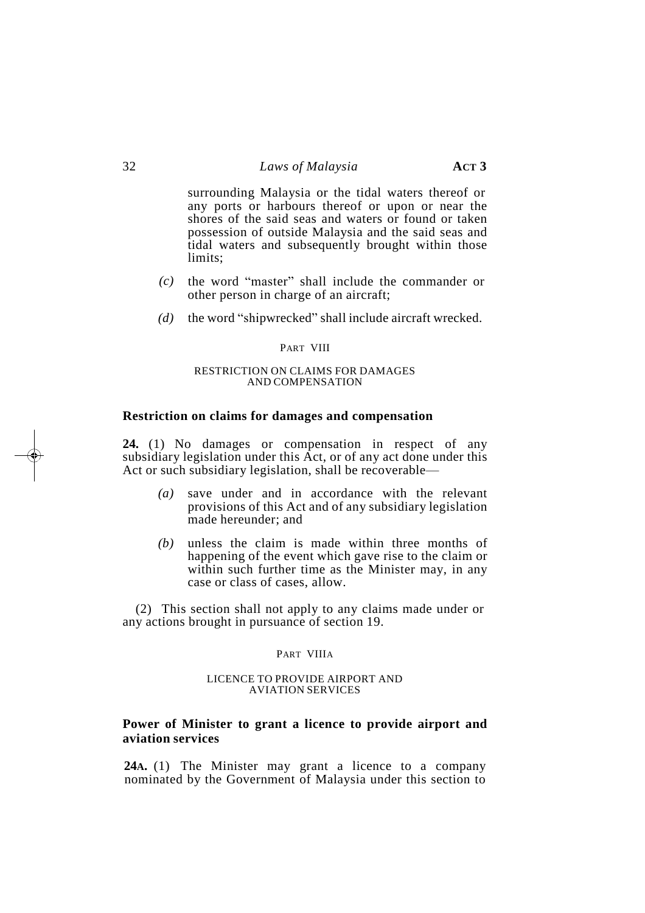surrounding Malaysia or the tidal waters thereof or any ports or harbours thereof or upon or near the shores of the said seas and waters or found or taken possession of outside Malaysia and the said seas and tidal waters and subsequently brought within those limits;

- *(c)* the word "master" shall include the commander or other person in charge of an aircraft;
- *(d)* the word "shipwrecked" shall include aircraft wrecked.

#### PART VIII

#### RESTRICTION ON CLAIMS FOR DAMAGES AND COMPENSATION

#### **Restriction on claims for damages and compensation**

**24.** (1) No damages or compensation in respect of any subsidiary legislation under this Act, or of any act done under this Act or such subsidiary legislation, shall be recoverable—

- *(a)* save under and in accordance with the relevant provisions of this Act and of any subsidiary legislation made hereunder; and
- *(b)* unless the claim is made within three months of happening of the event which gave rise to the claim or within such further time as the Minister may, in any case or class of cases, allow.

(2) This section shall not apply to any claims made under or any actions brought in pursuance of section 19.

#### PART VIIIA

#### LICENCE TO PROVIDE AIRPORT AND AVIATION SERVICES

#### **Power of Minister to grant a licence to provide airport and aviation services**

**24A.** (1) The Minister may grant a licence to a company nominated by the Government of Malaysia under this section to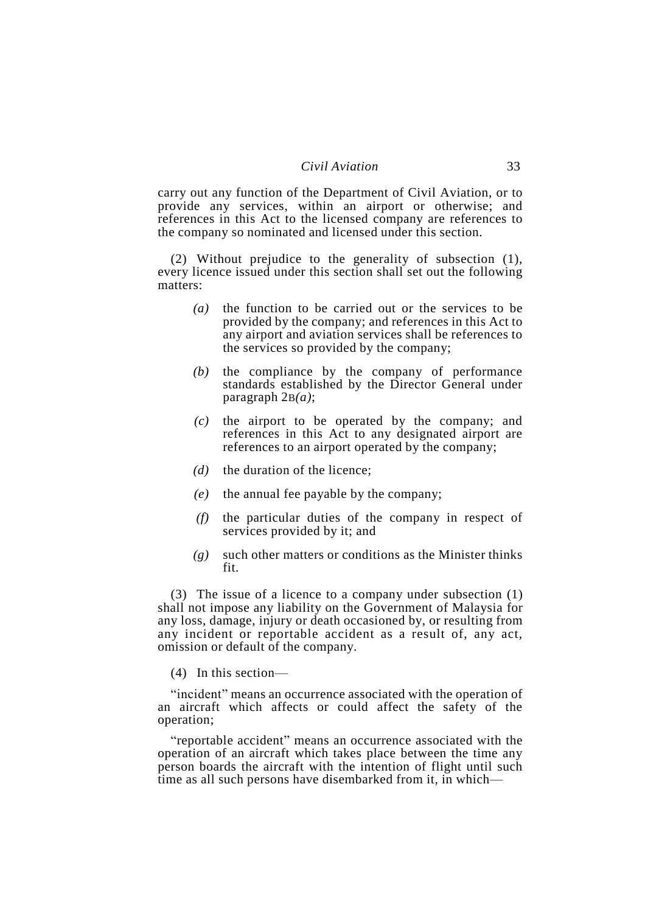carry out any function of the Department of Civil Aviation, or to provide any services, within an airport or otherwise; and references in this Act to the licensed company are references to the company so nominated and licensed under this section.

(2) Without prejudice to the generality of subsection (1), every licence issued under this section shall set out the following matters:

- *(a)* the function to be carried out or the services to be provided by the company; and references in this Act to any airport and aviation services shall be references to the services so provided by the company;
- *(b)* the compliance by the company of performance standards established by the Director General under paragraph 2B*(a)*;
- *(c)* the airport to be operated by the company; and references in this Act to any designated airport are references to an airport operated by the company;
- *(d)* the duration of the licence;
- *(e)* the annual fee payable by the company;
- *(f)* the particular duties of the company in respect of services provided by it; and
- *(g)* such other matters or conditions as the Minister thinks fit.

(3) The issue of a licence to a company under subsection (1) shall not impose any liability on the Government of Malaysia for any loss, damage, injury or death occasioned by, or resulting from any incident or reportable accident as a result of, any act, omission or default of the company.

(4) In this section—

"incident" means an occurrence associated with the operation of an aircraft which affects or could affect the safety of the operation;

"reportable accident" means an occurrence associated with the operation of an aircraft which takes place between the time any person boards the aircraft with the intention of flight until such time as all such persons have disembarked from it, in which—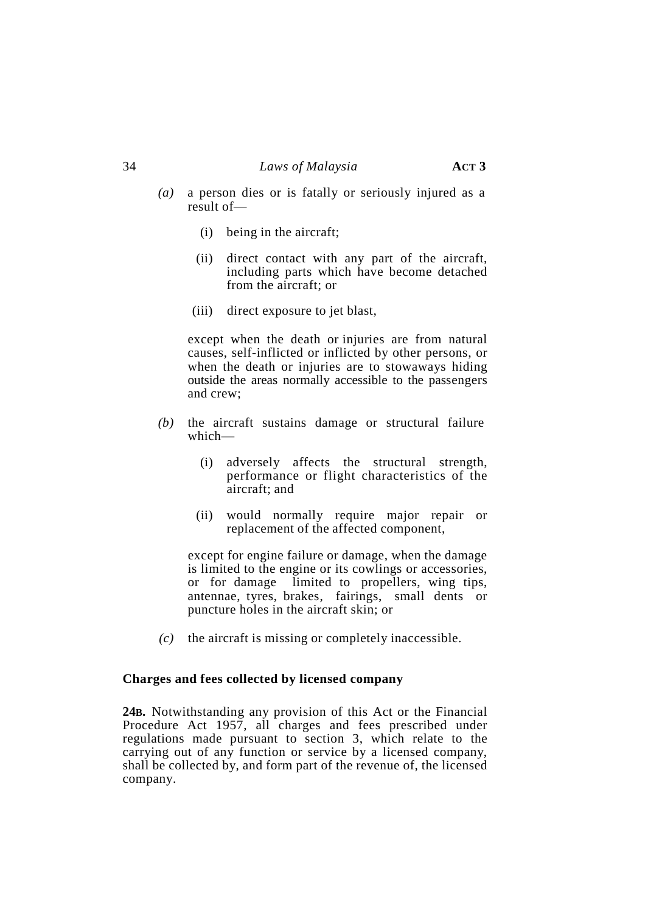- *(a)* a person dies or is fatally or seriously injured as a result of—
	- (i) being in the aircraft;
	- (ii) direct contact with any part of the aircraft, including parts which have become detached from the aircraft; or
	- (iii) direct exposure to jet blast,

except when the death or injuries are from natural causes, self-inflicted or inflicted by other persons, or when the death or injuries are to stowaways hiding outside the areas normally accessible to the passengers and crew;

- *(b)* the aircraft sustains damage or structural failure which—
	- (i) adversely affects the structural strength, performance or flight characteristics of the aircraft; and
	- (ii) would normally require major repair or replacement of the affected component,

except for engine failure or damage, when the damage is limited to the engine or its cowlings or accessories, or for damage limited to propellers, wing tips, antennae, tyres, brakes, fairings, small dents or puncture holes in the aircraft skin; or

*(c)* the aircraft is missing or completely inaccessible.

#### **Charges and fees collected by licensed company**

**24B.** Notwithstanding any provision of this Act or the Financial Procedure Act 1957, all charges and fees prescribed under regulations made pursuant to section 3, which relate to the carrying out of any function or service by a licensed company, shall be collected by, and form part of the revenue of, the licensed company.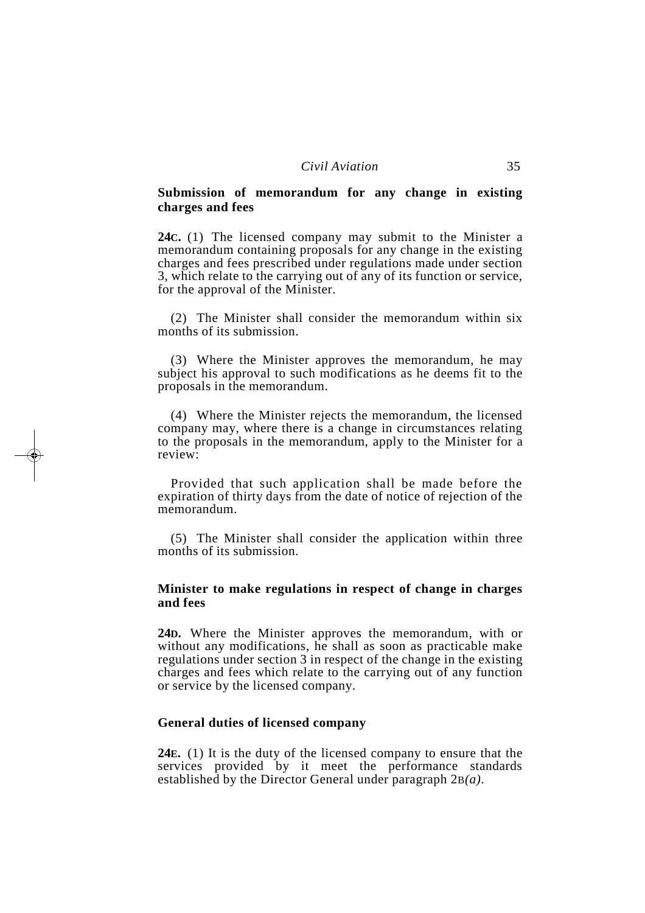### **Submission of memorandum for any change in existing charges and fees**

**24C.** (1) The licensed company may submit to the Minister a memorandum containing proposals for any change in the existing charges and fees prescribed under regulations made under section 3, which relate to the carrying out of any of its function or service, for the approval of the Minister.

(2) The Minister shall consider the memorandum within six months of its submission.

(3) Where the Minister approves the memorandum, he may subject his approval to such modifications as he deems fit to the proposals in the memorandum.

(4) Where the Minister rejects the memorandum, the licensed company may, where there is a change in circumstances relating to the proposals in the memorandum, apply to the Minister for a review:

Provided that such application shall be made before the expiration of thirty days from the date of notice of rejection of the memorandum.

(5) The Minister shall consider the application within three months of its submission.

#### **Minister to make regulations in respect of change in charges and fees**

**24D.** Where the Minister approves the memorandum, with or without any modifications, he shall as soon as practicable make regulations under section 3 in respect of the change in the existing charges and fees which relate to the carrying out of any function or service by the licensed company.

### **General duties of licensed company**

**24E.** (1) It is the duty of the licensed company to ensure that the services provided by it meet the performance standards established by the Director General under paragraph 2B*(a)*.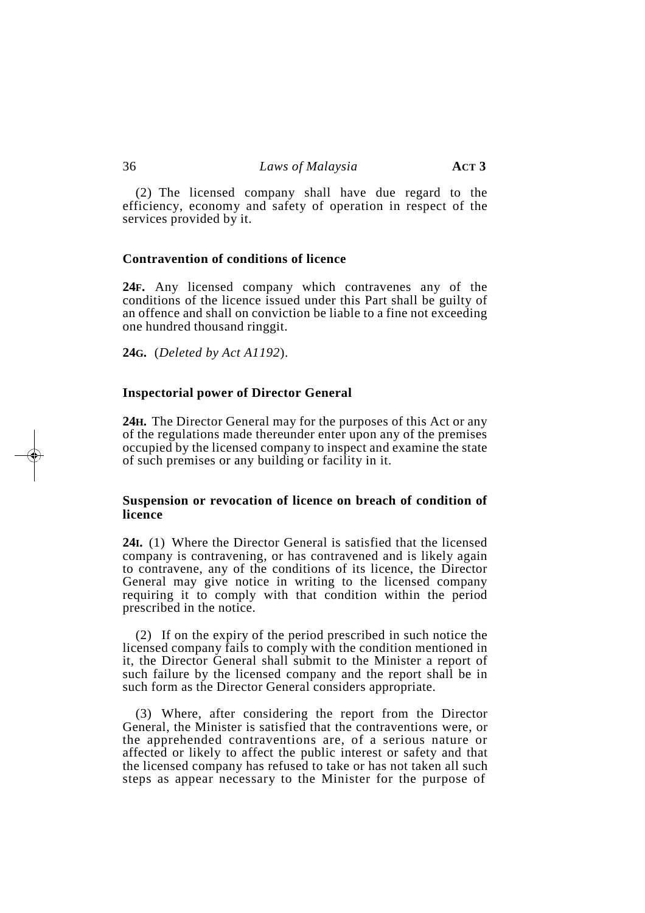(2) The licensed company shall have due regard to the efficiency, economy and safety of operation in respect of the services provided by it.

#### **Contravention of conditions of licence**

**24F.** Any licensed company which contravenes any of the conditions of the licence issued under this Part shall be guilty of an offence and shall on conviction be liable to a fine not exceeding one hundred thousand ringgit.

**24G.** (*Deleted by Act A1192*).

#### **Inspectorial power of Director General**

**24H.** The Director General may for the purposes of this Act or any of the regulations made thereunder enter upon any of the premises occupied by the licensed company to inspect and examine the state of such premises or any building or facility in it.

#### **Suspension or revocation of licence on breach of condition of licence**

**24I.** (1) Where the Director General is satisfied that the licensed company is contravening, or has contravened and is likely again to contravene, any of the conditions of its licence, the Director General may give notice in writing to the licensed company requiring it to comply with that condition within the period prescribed in the notice.

(2) If on the expiry of the period prescribed in such notice the licensed company fails to comply with the condition mentioned in it, the Director General shall submit to the Minister a report of such failure by the licensed company and the report shall be in such form as the Director General considers appropriate.

(3) Where, after considering the report from the Director General, the Minister is satisfied that the contraventions were, or the apprehended contraventions are, of a serious nature or affected or likely to affect the public interest or safety and that the licensed company has refused to take or has not taken all such steps as appear necessary to the Minister for the purpose of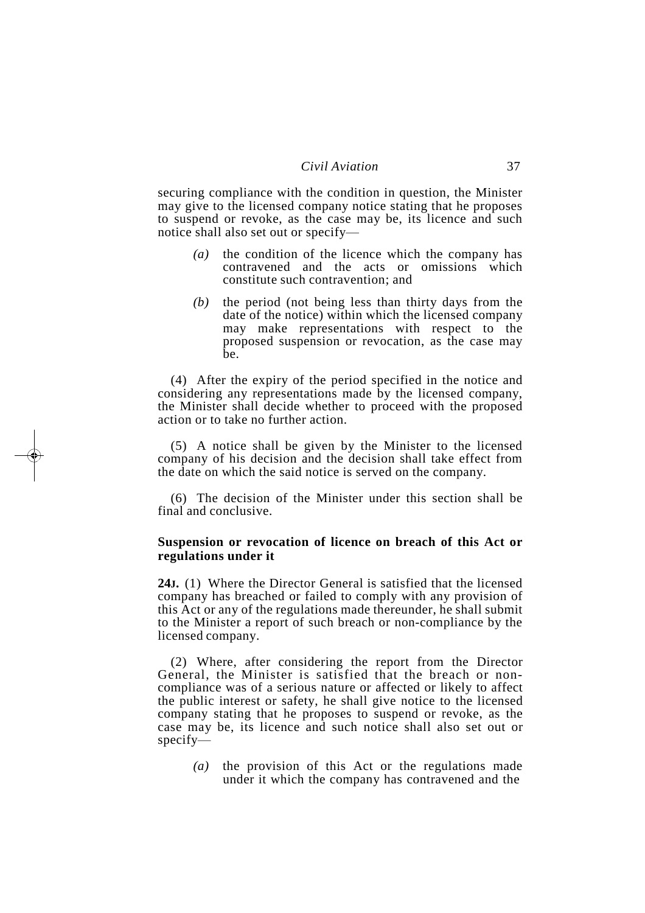securing compliance with the condition in question, the Minister may give to the licensed company notice stating that he proposes to suspend or revoke, as the case may be, its licence and such notice shall also set out or specify—

- *(a)* the condition of the licence which the company has contravened and the acts or omissions which constitute such contravention; and
- *(b)* the period (not being less than thirty days from the date of the notice) within which the licensed company may make representations with respect to the proposed suspension or revocation, as the case may be.

(4) After the expiry of the period specified in the notice and considering any representations made by the licensed company, the Minister shall decide whether to proceed with the proposed action or to take no further action.

(5) A notice shall be given by the Minister to the licensed company of his decision and the decision shall take effect from the date on which the said notice is served on the company.

(6) The decision of the Minister under this section shall be final and conclusive.

#### **Suspension or revocation of licence on breach of this Act or regulations under it**

**24J.** (1) Where the Director General is satisfied that the licensed company has breached or failed to comply with any provision of this Act or any of the regulations made thereunder, he shall submit to the Minister a report of such breach or non-compliance by the licensed company.

(2) Where, after considering the report from the Director General, the Minister is satisfied that the breach or noncompliance was of a serious nature or affected or likely to affect the public interest or safety, he shall give notice to the licensed company stating that he proposes to suspend or revoke, as the case may be, its licence and such notice shall also set out or specify—

*(a)* the provision of this Act or the regulations made under it which the company has contravened and the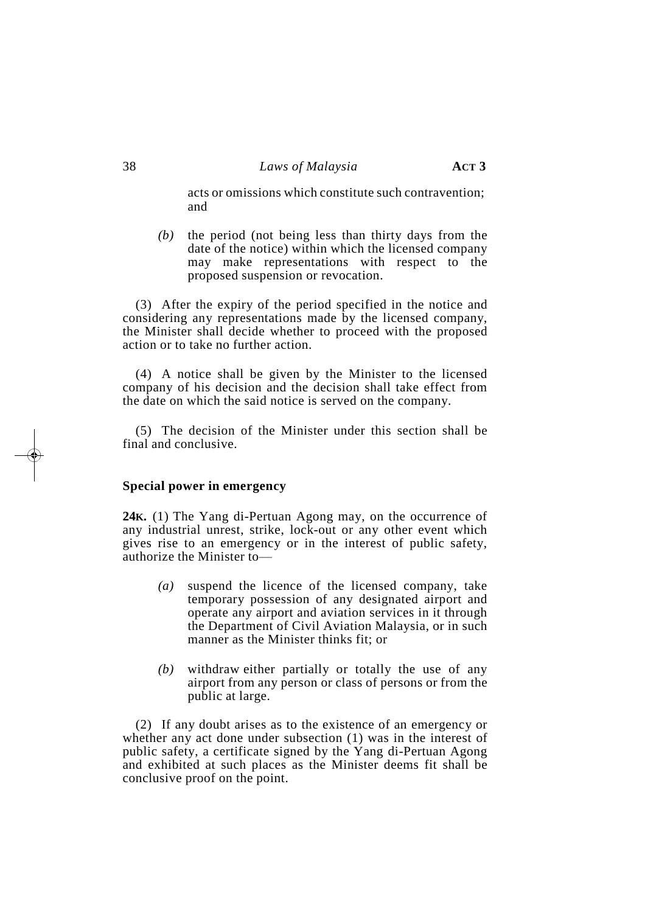acts or omissions which constitute such contravention; and

*(b)* the period (not being less than thirty days from the date of the notice) within which the licensed company may make representations with respect to the proposed suspension or revocation.

(3) After the expiry of the period specified in the notice and considering any representations made by the licensed company, the Minister shall decide whether to proceed with the proposed action or to take no further action.

(4) A notice shall be given by the Minister to the licensed company of his decision and the decision shall take effect from the date on which the said notice is served on the company.

(5) The decision of the Minister under this section shall be final and conclusive.

#### **Special power in emergency**

**24K.** (1) The Yang di-Pertuan Agong may, on the occurrence of any industrial unrest, strike, lock-out or any other event which gives rise to an emergency or in the interest of public safety, authorize the Minister to—

- *(a)* suspend the licence of the licensed company, take temporary possession of any designated airport and operate any airport and aviation services in it through the Department of Civil Aviation Malaysia, or in such manner as the Minister thinks fit; or
- *(b)* withdraw either partially or totally the use of any airport from any person or class of persons or from the public at large.

(2) If any doubt arises as to the existence of an emergency or whether any act done under subsection (1) was in the interest of public safety, a certificate signed by the Yang di-Pertuan Agong and exhibited at such places as the Minister deems fit shall be conclusive proof on the point.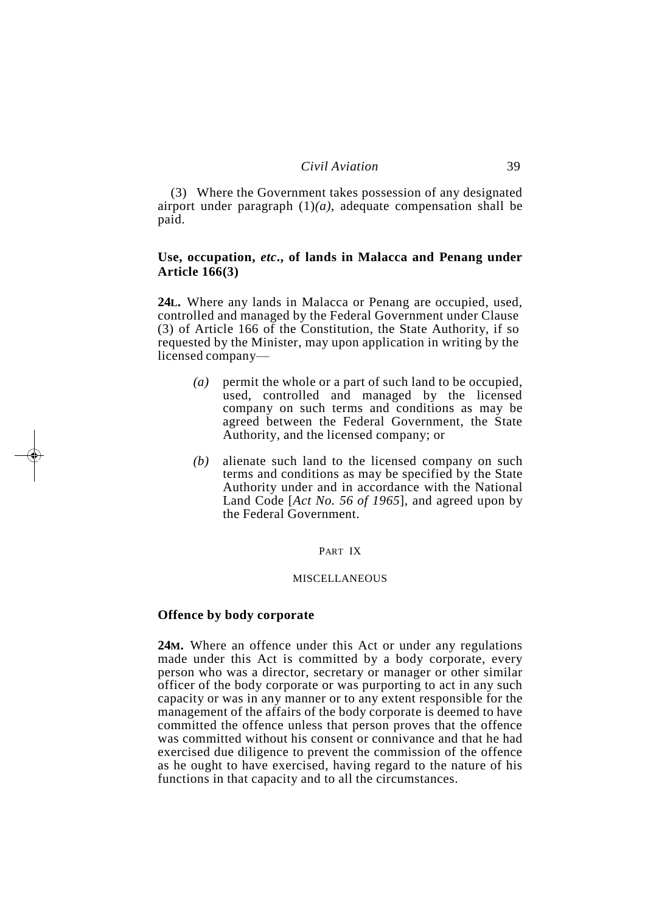(3) Where the Government takes possession of any designated airport under paragraph  $(1)(a)$ , adequate compensation shall be paid.

### **Use, occupation,** *etc***., of lands in Malacca and Penang under Article 166(3)**

**24L.** Where any lands in Malacca or Penang are occupied, used, controlled and managed by the Federal Government under Clause (3) of Article 166 of the Constitution, the State Authority, if so requested by the Minister, may upon application in writing by the licensed company—

- *(a)* permit the whole or a part of such land to be occupied, used, controlled and managed by the licensed company on such terms and conditions as may be agreed between the Federal Government, the State Authority, and the licensed company; or
- *(b)* alienate such land to the licensed company on such terms and conditions as may be specified by the State Authority under and in accordance with the National Land Code [*Act No. 56 of 1965*], and agreed upon by the Federal Government.

#### PART IX

#### MISCELLANEOUS

#### **Offence by body corporate**

**24M.** Where an offence under this Act or under any regulations made under this Act is committed by a body corporate, every person who was a director, secretary or manager or other similar officer of the body corporate or was purporting to act in any such capacity or was in any manner or to any extent responsible for the management of the affairs of the body corporate is deemed to have committed the offence unless that person proves that the offence was committed without his consent or connivance and that he had exercised due diligence to prevent the commission of the offence as he ought to have exercised, having regard to the nature of his functions in that capacity and to all the circumstances.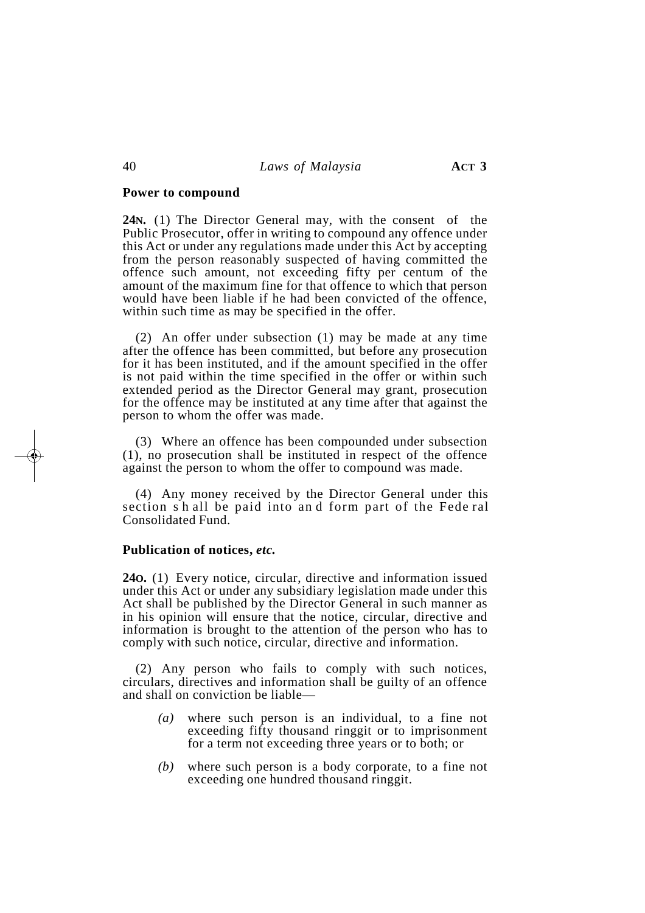#### **Power to compound**

**24N.** (1) The Director General may, with the consent of the Public Prosecutor, offer in writing to compound any offence under this Act or under any regulations made under this Act by accepting from the person reasonably suspected of having committed the offence such amount, not exceeding fifty per centum of the amount of the maximum fine for that offence to which that person would have been liable if he had been convicted of the offence, within such time as may be specified in the offer.

(2) An offer under subsection (1) may be made at any time after the offence has been committed, but before any prosecution for it has been instituted, and if the amount specified in the offer is not paid within the time specified in the offer or within such extended period as the Director General may grant, prosecution for the offence may be instituted at any time after that against the person to whom the offer was made.

(3) Where an offence has been compounded under subsection (1), no prosecution shall be instituted in respect of the offence against the person to whom the offer to compound was made.

(4) Any money received by the Director General under this section s h all be paid into an d form part of the Fede ral Consolidated Fund.

#### **Publication of notices,** *etc.*

**24O.** (1) Every notice, circular, directive and information issued under this Act or under any subsidiary legislation made under this Act shall be published by the Director General in such manner as in his opinion will ensure that the notice, circular, directive and information is brought to the attention of the person who has to comply with such notice, circular, directive and information.

(2) Any person who fails to comply with such notices, circulars, directives and information shall be guilty of an offence and shall on conviction be liable—

- *(a)* where such person is an individual, to a fine not exceeding fifty thousand ringgit or to imprisonment for a term not exceeding three years or to both; or
- *(b)* where such person is a body corporate, to a fine not exceeding one hundred thousand ringgit.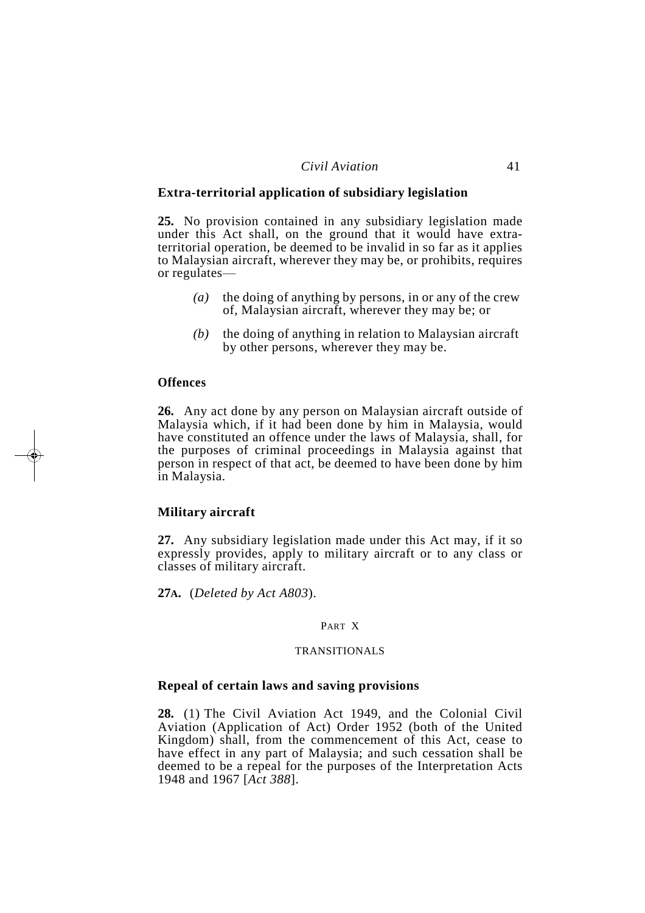#### *Civil Aviation* 41

#### **Extra-territorial application of subsidiary legislation**

**25.** No provision contained in any subsidiary legislation made under this Act shall, on the ground that it would have extraterritorial operation, be deemed to be invalid in so far as it applies to Malaysian aircraft, wherever they may be, or prohibits, requires or regulates—

- *(a)* the doing of anything by persons, in or any of the crew of, Malaysian aircraft, wherever they may be; or
- *(b)* the doing of anything in relation to Malaysian aircraft by other persons, wherever they may be.

#### **Offences**

**26.** Any act done by any person on Malaysian aircraft outside of Malaysia which, if it had been done by him in Malaysia, would have constituted an offence under the laws of Malaysia, shall, for the purposes of criminal proceedings in Malaysia against that person in respect of that act, be deemed to have been done by him in Malaysia.

#### **Military aircraft**

**27.** Any subsidiary legislation made under this Act may, if it so expressly provides, apply to military aircraft or to any class or classes of military aircraft.

**27A.** (*Deleted by Act A803*).

#### PART X

#### TRANSITIONALS

#### **Repeal of certain laws and saving provisions**

**28.** (1) The Civil Aviation Act 1949, and the Colonial Civil Aviation (Application of Act) Order 1952 (both of the United Kingdom) shall, from the commencement of this Act, cease to have effect in any part of Malaysia; and such cessation shall be deemed to be a repeal for the purposes of the Interpretation Acts 1948 and 1967 [*Act 388*].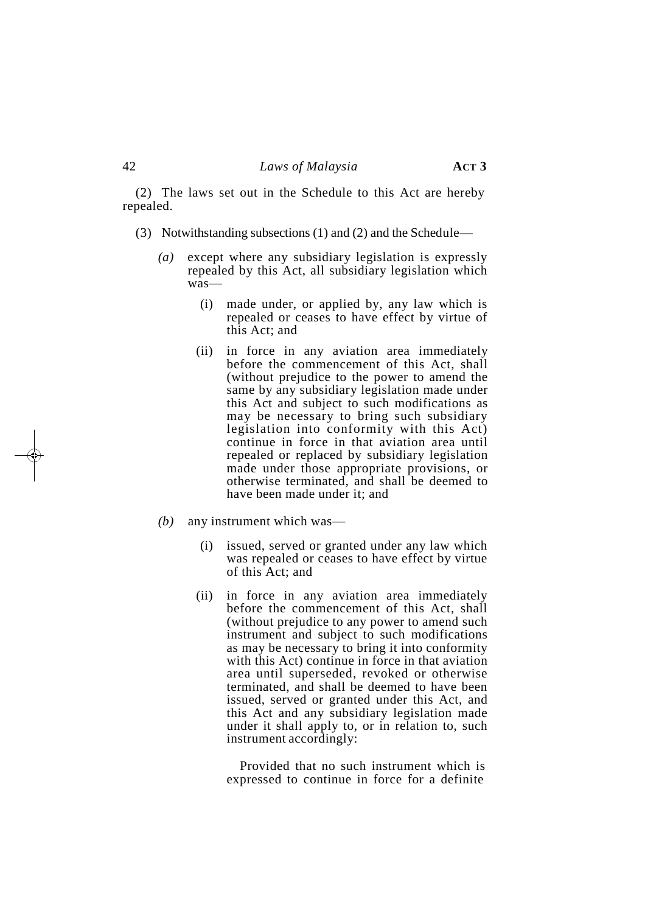(2) The laws set out in the Schedule to this Act are hereby repealed.

- (3) Notwithstanding subsections (1) and (2) and the Schedule—
	- *(a)* except where any subsidiary legislation is expressly repealed by this Act, all subsidiary legislation which was—
		- (i) made under, or applied by, any law which is repealed or ceases to have effect by virtue of this Act; and
		- (ii) in force in any aviation area immediately before the commencement of this Act, shall (without prejudice to the power to amend the same by any subsidiary legislation made under this Act and subject to such modifications as may be necessary to bring such subsidiary legislation into conformity with this Act) continue in force in that aviation area until repealed or replaced by subsidiary legislation made under those appropriate provisions, or otherwise terminated, and shall be deemed to have been made under it; and
	- *(b)* any instrument which was—
		- (i) issued, served or granted under any law which was repealed or ceases to have effect by virtue of this Act; and
		- (ii) in force in any aviation area immediately before the commencement of this Act, shall (without prejudice to any power to amend such instrument and subject to such modifications as may be necessary to bring it into conformity with this Act) continue in force in that aviation area until superseded, revoked or otherwise terminated, and shall be deemed to have been issued, served or granted under this Act, and this Act and any subsidiary legislation made under it shall apply to, or in relation to, such instrument accordingly:

Provided that no such instrument which is expressed to continue in force for a definite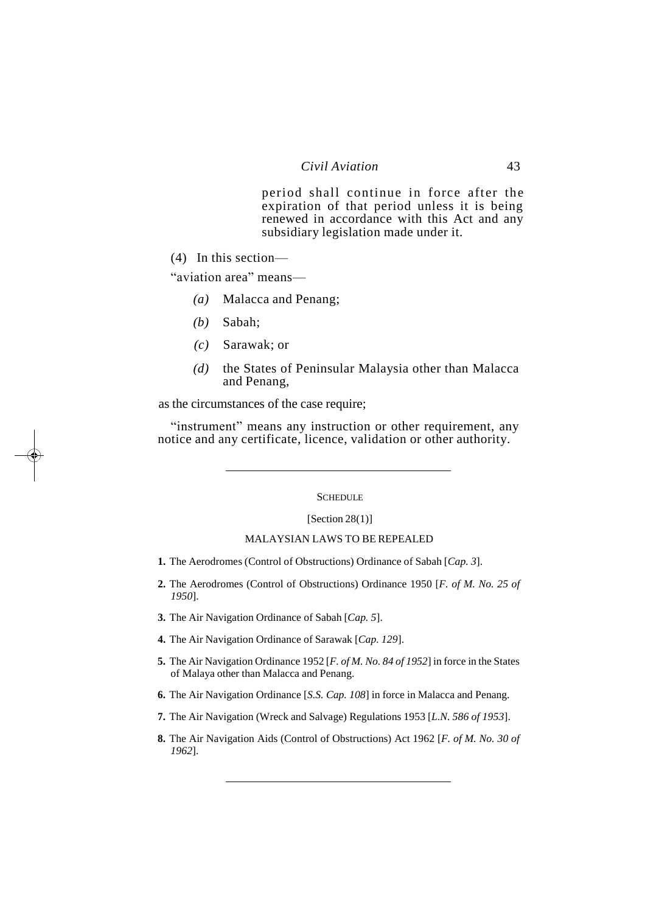period shall continue in force after the expiration of that period unless it is being renewed in accordance with this Act and any subsidiary legislation made under it.

(4) In this section—

"aviation area" means—

- *(a)* Malacca and Penang;
- *(b)* Sabah;
- *(c)* Sarawak; or
- *(d)* the States of Peninsular Malaysia other than Malacca and Penang,

as the circumstances of the case require;

"instrument" means any instruction or other requirement, any notice and any certificate, licence, validation or other authority.

#### **SCHEDULE**

#### $[Section 28(1)]$

#### MALAYSIAN LAWS TO BE REPEALED

- **1.** The Aerodromes (Control of Obstructions) Ordinance of Sabah [*Cap. 3*].
- **2.** The Aerodromes (Control of Obstructions) Ordinance 1950 [*F. of M. No. 25 of 1950*].
- **3.** The Air Navigation Ordinance of Sabah [*Cap. 5*].
- **4.** The Air Navigation Ordinance of Sarawak [*Cap. 129*].
- **5.** The Air Navigation Ordinance 1952 [*F. of M. No. 84 of 1952*] in force in the States of Malaya other than Malacca and Penang.
- **6.** The Air Navigation Ordinance [*S.S. Cap. 108*] in force in Malacca and Penang.
- **7.** The Air Navigation (Wreck and Salvage) Regulations 1953 [*L.N. 586 of 1953*].
- **8.** The Air Navigation Aids (Control of Obstructions) Act 1962 [*F. of M. No. 30 of 1962*].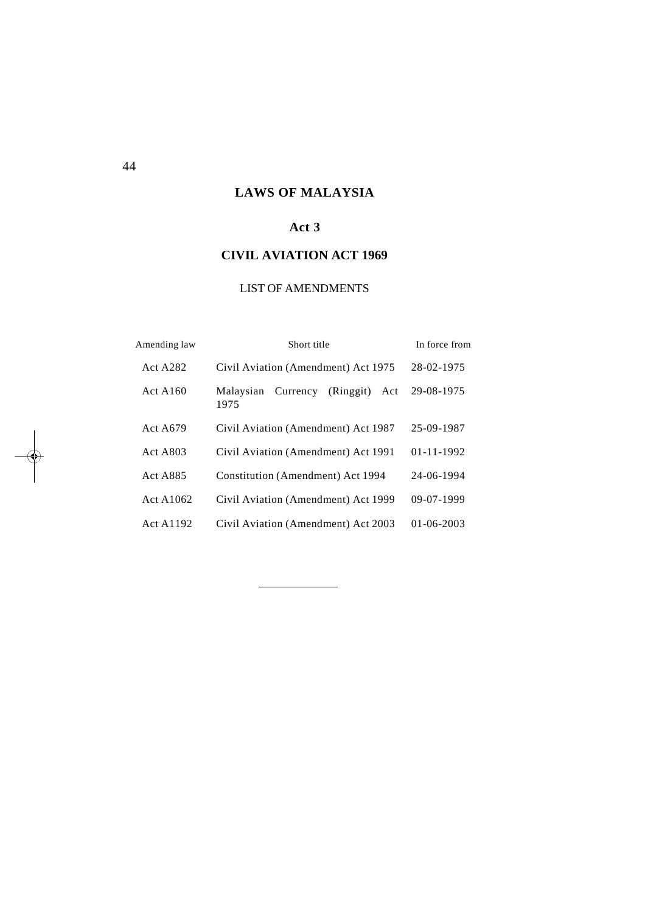# **LAWS OF MALAYSIA**

# **Act 3**

# **CIVIL AVIATION ACT 1969**

# LIST OF AMENDMENTS

| Amending law    | Short title                                       | In force from    |
|-----------------|---------------------------------------------------|------------------|
| <b>Act A282</b> | Civil Aviation (Amendment) Act 1975               | 28-02-1975       |
| ActA160         | (Ringgit)<br>Currency<br>Malaysian<br>Act<br>1975 | 29-08-1975       |
| Act A679        | Civil Aviation (Amendment) Act 1987               | 25-09-1987       |
| Act A803        | Civil Aviation (Amendment) Act 1991               | $01 - 11 - 1992$ |
| <b>Act A885</b> | Constitution (Amendment) Act 1994                 | 24-06-1994       |
| Act A1062       | Civil Aviation (Amendment) Act 1999               | $09-07-1999$     |
| Act A1192       | Civil Aviation (Amendment) Act 2003               | $01 - 06 - 2003$ |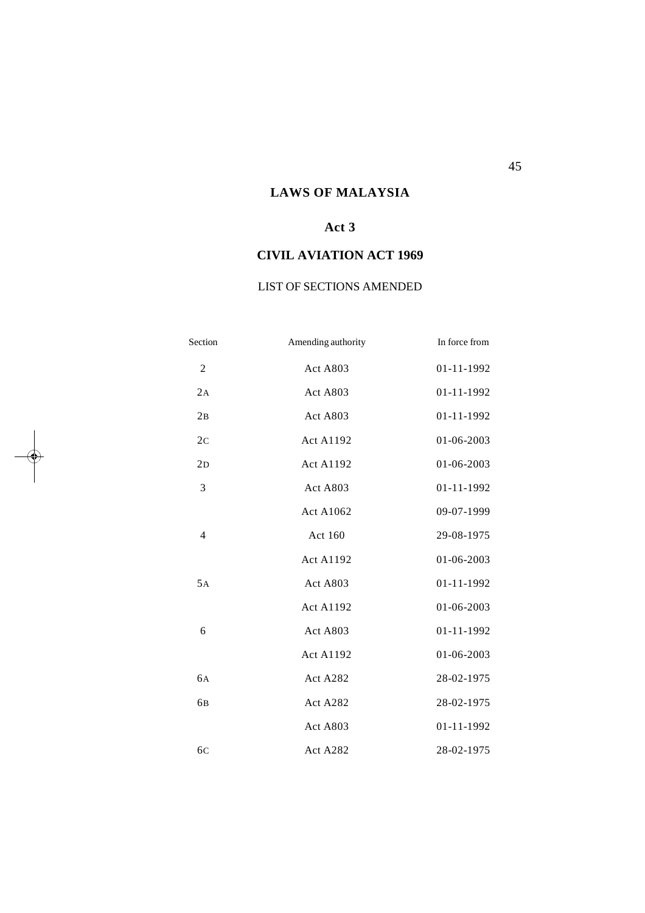# **LAWS OF MALAYSIA**

# **Act 3**

# **CIVIL AVIATION ACT 1969**

# LIST OF SECTIONS AMENDED

| Section        | Amending authority | In force from |
|----------------|--------------------|---------------|
| $\mathfrak{2}$ | Act A803           | 01-11-1992    |
| 2A             | Act A803           | 01-11-1992    |
| 2B             | Act A803           | 01-11-1992    |
| 2 <sub>c</sub> | <b>Act A1192</b>   | 01-06-2003    |
| 2D             | <b>Act A1192</b>   | 01-06-2003    |
| 3              | Act A803           | 01-11-1992    |
|                | <b>Act A1062</b>   | 09-07-1999    |
| $\overline{4}$ | Act 160            | 29-08-1975    |
|                | <b>Act A1192</b>   | 01-06-2003    |
| 5A             | Act A803           | 01-11-1992    |
|                | <b>Act A1192</b>   | 01-06-2003    |
| 6              | Act A803           | 01-11-1992    |
|                | <b>Act A1192</b>   | 01-06-2003    |
| 6A             | Act A282           | 28-02-1975    |
| 6 <sub>B</sub> | Act A282           | 28-02-1975    |
|                | Act A803           | 01-11-1992    |
| 6 <sub>C</sub> | Act A282           | 28-02-1975    |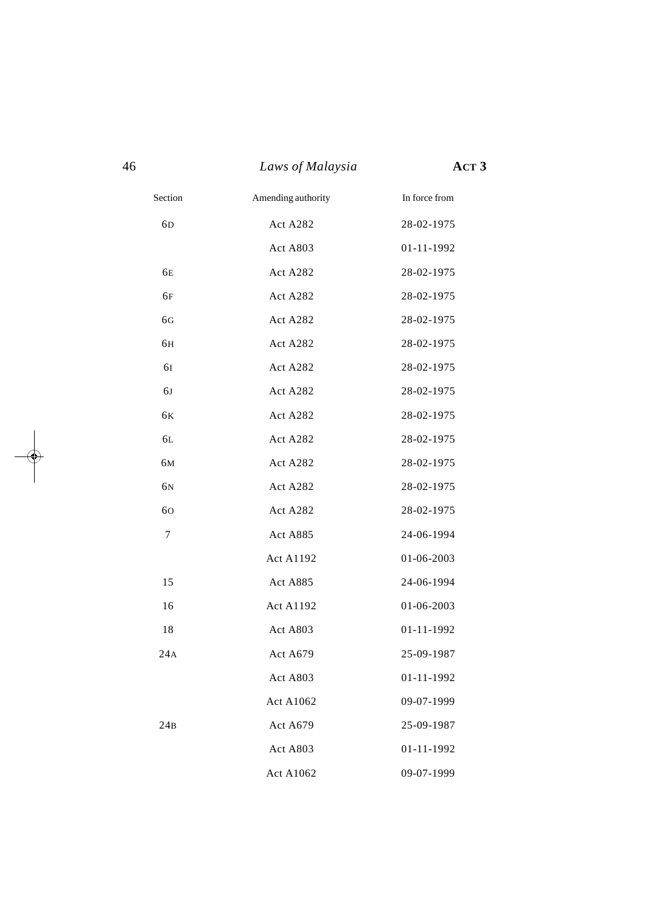|                | Laws of Malaysia   | ACT <sub>3</sub> |
|----------------|--------------------|------------------|
| Section        | Amending authority | In force from    |
| 6 <sub>D</sub> | Act A282           | 28-02-1975       |
|                | Act A803           | 01-11-1992       |
| 6E             | Act A282           | 28-02-1975       |
| 6F             | Act A282           | 28-02-1975       |
| 6G             | Act A282           | 28-02-1975       |
| 6H             | Act A282           | 28-02-1975       |
| 61             | Act A282           | 28-02-1975       |
| 6J             | Act A282           | 28-02-1975       |
| 6K             | Act A282           | 28-02-1975       |
| 6L             | Act A282           | 28-02-1975       |
| 6M             | Act A282           | 28-02-1975       |
| 6N             | Act A282           | 28-02-1975       |
| 60             | Act A282           | 28-02-1975       |
| 7              | Act A885           | 24-06-1994       |
|                | <b>Act A1192</b>   | 01-06-2003       |
| 15             | Act A885           | 24-06-1994       |
| 16             | <b>Act A1192</b>   | 01-06-2003       |
| 18             | Act A803           | 01-11-1992       |
| 24A            | Act A679           | 25-09-1987       |
|                | Act A803           | 01-11-1992       |
|                | <b>Act A1062</b>   | 09-07-1999       |
| 24B            | Act A679           | 25-09-1987       |
|                | Act A803           | 01-11-1992       |
|                | Act A1062          | 09-07-1999       |